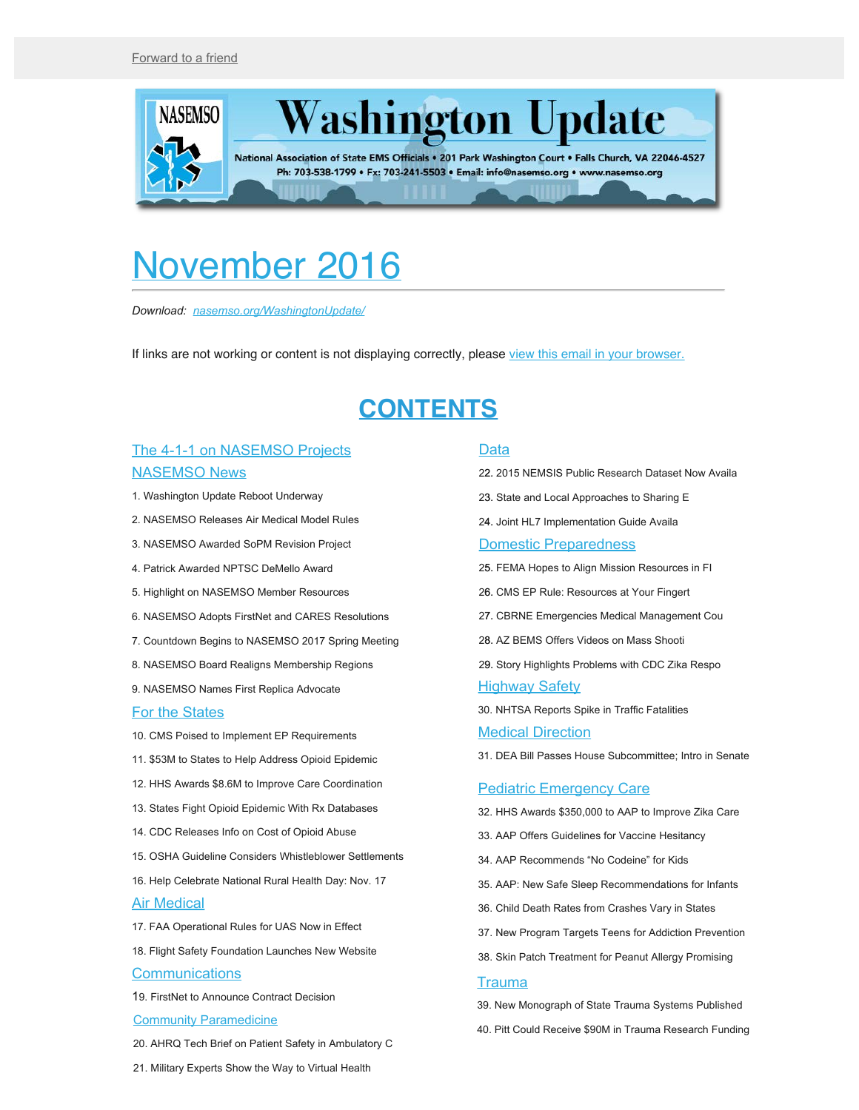<span id="page-0-0"></span>

# November 2016

*Download: [nasemso.org/WashingtonUpdate/](http://www.nasemso.org/WashingtonUpdate/)*

If links are not working or content is not displaying correctly, please [view this email in your browser.](http://us13.campaign-archive2.com/?u=bdaf9a0cf267d423437d7b149&id=db177d7d2c&e=%5BUNIQID%5D)

# **CONTENTS**

#### [The 4-1-1 on NASEMSO Projects](#page-1-0) [NASEMSO News](#page-2-0)

- 1. Washington Update Reboot Underway
- 2. NASEMSO Releases Air Medical Model Rules
- 3. NASEMSO Awarded SoPM Revision Project
- 4. Patrick Awarded NPTSC DeMello Award
- 5. Highlight on NASEMSO Member Resources
- 6. NASEMSO Adopts FirstNet and CARES Resolutions
- 7. Countdown Begins to NASEMSO 2017 Spring Meeting
- 8. NASEMSO Board Realigns Membership Regions
- 9. NASEMSO Names First Replica Advocate

#### [For the States](#page-5-0)

- 10. CMS Poised to Implement EP Requirements
- 11. \$53M to States to Help Address Opioid Epidemic
- 12. HHS Awards \$8.6M to Improve Care Coordination
- 13. States Fight Opioid Epidemic With Rx Databases
- 14. CDC Releases Info on Cost of Opioid Abuse
- 15. OSHA Guideline Considers Whistleblower Settlements
- 16. Help Celebrate National Rural Health Day: Nov. 17

#### Air Medical

- 17. FAA Operational Rules for UAS Now in Effect
- 18. Flight Safety Foundation Launches New Website

#### **[Communications](#page-8-0)**

19. FirstNet to Announce Contract Decision

#### [Community Paramedicine](#page-8-1)

20. AHRQ Tech Brief on Patient Safety in Ambulatory C

#### [Data](#page-9-0)

- 22. 2015 NEMSIS Public Research Dataset Now Availa
- 23. State and Local Approaches to Sharing E
- 24. Joint HL7 Implementation Guide Availa

#### [Domestic Preparedness](#page-10-0)

- 25. FEMA Hopes to Align Mission Resources in FI
- 26. CMS EP Rule: Resources at Your Fingert
- 27. CBRNE Emergencies Medical Management Cou
- 28. AZ BEMS Offers Videos on Mass Shooti
- 29. Story Highlights Problems with CDC Zika Respo **[Highway Safety](#page-12-0)**
- 30. NHTSA Reports Spike in Traffic Fatalities

#### **[Medical Direction](#page-13-0)**

31. DEA Bill Passes House Subcommittee; Intro in Senate

#### [Pediatric Emergency Care](#page-13-1)

- 32. HHS Awards \$350,000 to AAP to Improve Zika Care
- 33. AAP Offers Guidelines for Vaccine Hesitancy
- 34. AAP Recommends "No Codeine" for Kids
- 35. AAP: New Safe Sleep Recommendations for Infants
- 36. Child Death Rates from Crashes Vary in States
- 37. New Program Targets Teens for Addiction Prevention
- 38. Skin Patch Treatment for Peanut Allergy Promising

#### **[Trauma](#page-15-0)**

39. New Monograph of State Trauma Systems Published

- 40. Pitt Could Receive \$90M in Trauma Research Funding
- 21. Military Experts Show the Way to Virtual Health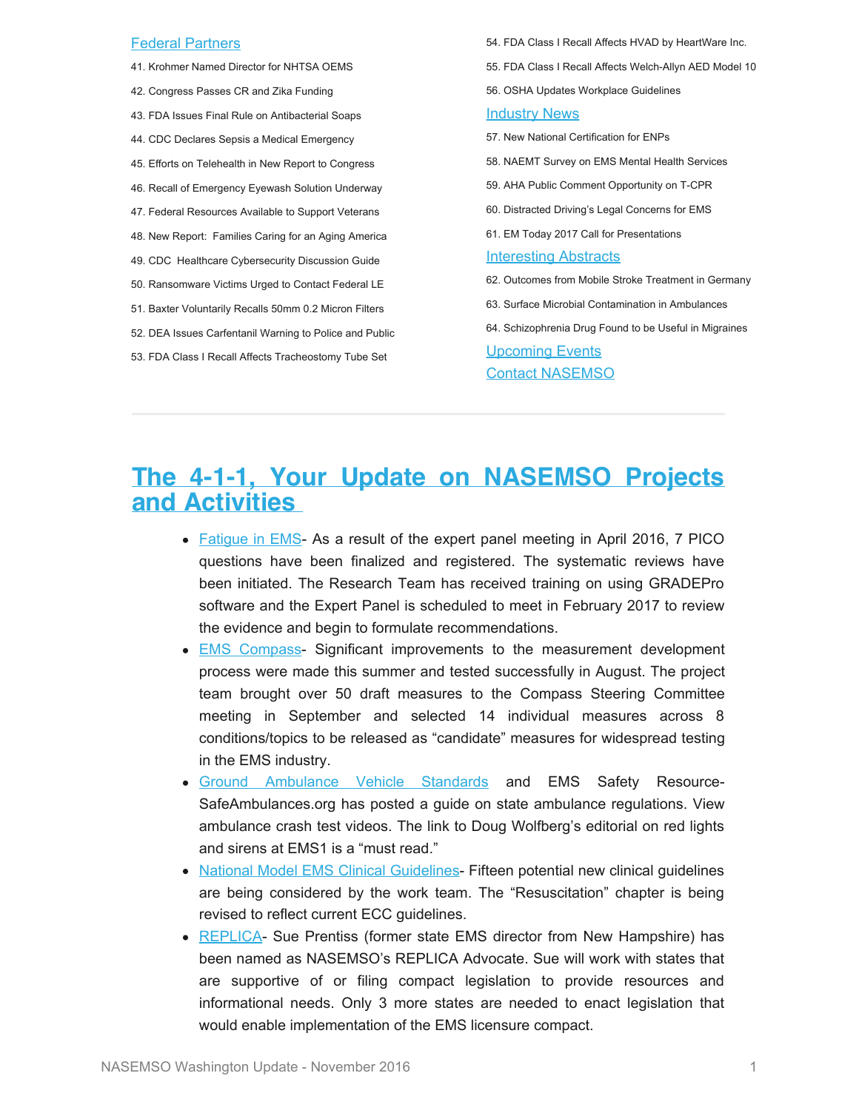#### [Federal Partners](#page-16-0)

- 41. Krohmer Named Director for NHTSA OEMS
- 42. Congress Passes CR and Zika Funding
- 43. FDA Issues Final Rule on Antibacterial Soaps
- 44. CDC Declares Sepsis a Medical Emergency
- 45. Efforts on Telehealth in New Report to Congress
- 46. Recall of Emergency Eyewash Solution Underway
- 47. Federal Resources Available to Support Veterans
- 48. New Report: Families Caring for an Aging America
- 49. CDC Healthcare Cybersecurity Discussion Guide
- 50. Ransomware Victims Urged to Contact Federal LE
- 51. Baxter Voluntarily Recalls 50mm 0.2 Micron Filters
- 52. DEA Issues Carfentanil Warning to Police and Public
- 53. FDA Class I Recall Affects Tracheostomy Tube Set

54. FDA Class I Recall Affects HVAD by HeartWare Inc. 55. FDA Class I Recall Affects Welch-Allyn AED Model 10 56. OSHA Updates Workplace Guidelines [Industry News](#page-21-0) 57. New National Certification for ENPs 58. NAEMT Survey on EMS Mental Health Services 59. AHA Public Comment Opportunity on T-CPR 60. Distracted Driving's Legal Concerns for EMS 61. EM Today 2017 Call for Presentations [Interesting Abstracts](#page-23-0) 62. Outcomes from Mobile Stroke Treatment in Germany 63. Surface Microbial Contamination in Ambulances 64. Schizophrenia Drug Found to be Useful in Migraines [Upcoming Events](#page-24-0)

[Contact NASEMSO](#page-26-0)

# <span id="page-1-0"></span>**The 4-1-1, Your Update on NASEMSO Projects and Activities**

- [Fatigue in EMS](http://www.emsfatigue.org/) As a result of the expert panel meeting in April 2016, 7 PICO questions have been finalized and registered. The systematic reviews have been initiated. The Research Team has received training on using GRADEPro software and the Expert Panel is scheduled to meet in February 2017 to review the evidence and begin to formulate recommendations.
- **EMS** Compass- Significant improvements to the measurement development process were made this summer and tested successfully in August. The project team brought over 50 draft measures to the Compass Steering Committee meeting in September and selected 14 individual measures across 8 conditions/topics to be released as "candidate" measures for widespread testing in the EMS industry.
- [Ground Ambulance Vehicle Standards](http://www.safeambulances.org/) and EMS Safety Resource-SafeAmbulances.org has posted a guide on state ambulance regulations. View ambulance crash test videos. The link to Doug Wolfberg's editorial on red lights and sirens at EMS1 is a "must read."
- [National Model EMS Clinical Guidelines](https://www.nasemso.org/Projects/ModelEMSClinicalGuidelines/index.asp) Fifteen potential new clinical guidelines are being considered by the work team. The "Resuscitation" chapter is being revised to reflect current ECC guidelines.
- [REPLICA](https://www.nasemso.org/Projects/InterstateCompacts/index.asp) Sue Prentiss (former state EMS director from New Hampshire) has been named as NASEMSO's REPLICA Advocate. Sue will work with states that are supportive of or filing compact legislation to provide resources and informational needs. Only 3 more states are needed to enact legislation that would enable implementation of the EMS licensure compact.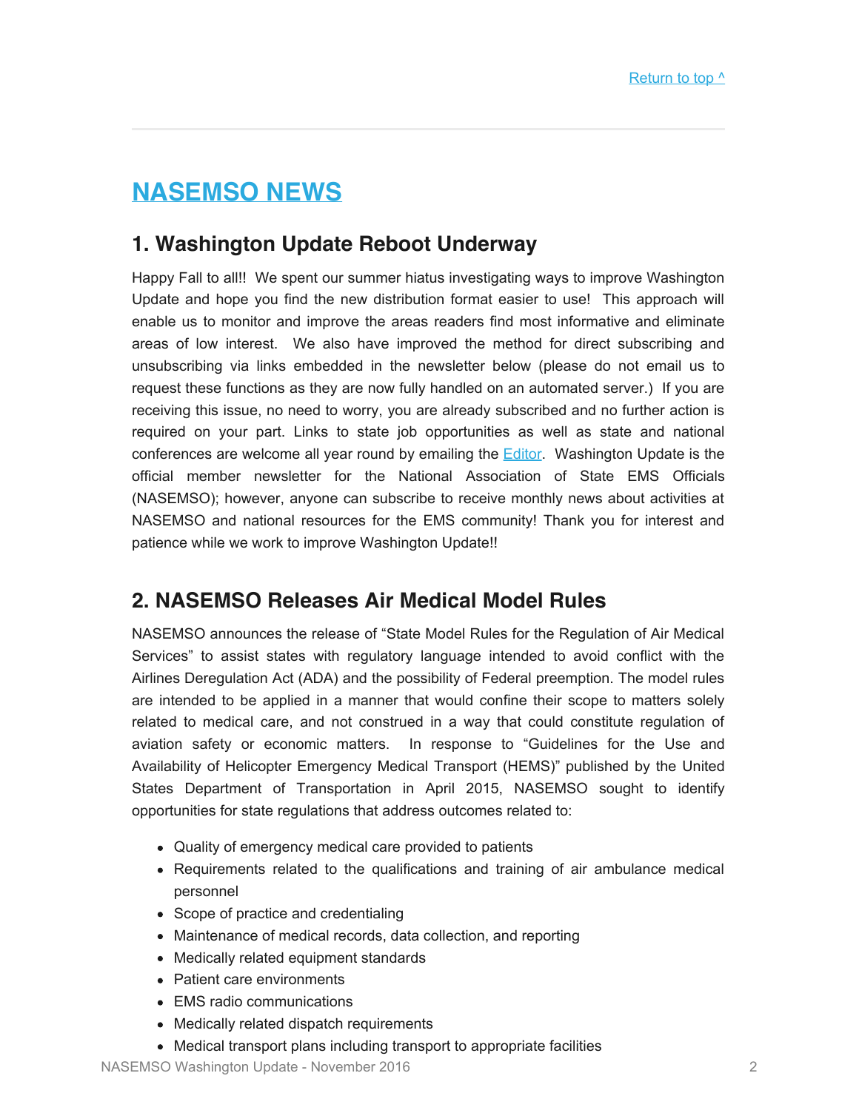# <span id="page-2-0"></span>**NASEMSO NEWS**

## **1. Washington Update Reboot Underway**

Happy Fall to all!! We spent our summer hiatus investigating ways to improve Washington Update and hope you find the new distribution format easier to use! This approach will enable us to monitor and improve the areas readers find most informative and eliminate areas of low interest. We also have improved the method for direct subscribing and unsubscribing via links embedded in the newsletter below (please do not email us to request these functions as they are now fully handled on an automated server.) If you are receiving this issue, no need to worry, you are already subscribed and no further action is required on your part. Links to state job opportunities as well as state and national conferences are welcome all year round by emailing the **[Editor](mailto:robinson@nasemso.org?subject=Item%20for%20Washington%20Update).** Washington Update is the official member newsletter for the National Association of State EMS Officials (NASEMSO); however, anyone can subscribe to receive monthly news about activities at NASEMSO and national resources for the EMS community! Thank you for interest and patience while we work to improve Washington Update!!

## **2. NASEMSO Releases Air Medical Model Rules**

NASEMSO announces the release of "State Model Rules for the Regulation of Air Medical Services" to assist states with regulatory language intended to avoid conflict with the Airlines Deregulation Act (ADA) and the possibility of Federal preemption. The model rules are intended to be applied in a manner that would confine their scope to matters solely related to medical care, and not construed in a way that could constitute regulation of aviation safety or economic matters. In response to "Guidelines for the Use and Availability of Helicopter Emergency Medical Transport (HEMS)" published by the United States Department of Transportation in April 2015, NASEMSO sought to identify opportunities for state regulations that address outcomes related to:

- Quality of emergency medical care provided to patients
- Requirements related to the qualifications and training of air ambulance medical personnel
- Scope of practice and credentialing
- Maintenance of medical records, data collection, and reporting
- Medically related equipment standards
- Patient care environments
- EMS radio communications
- Medically related dispatch requirements
- Medical transport plans including transport to appropriate facilities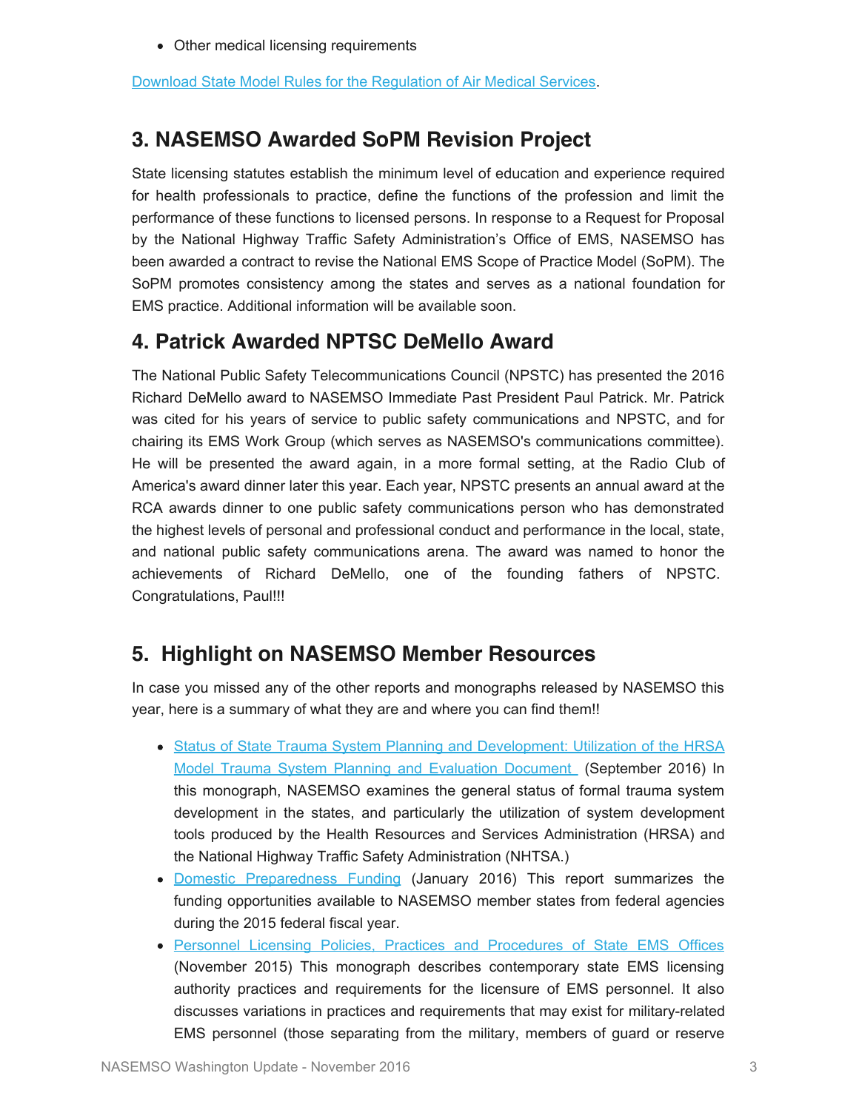Other medical licensing requirements

[Download State Model Rules for the Regulation of Air Medical Services.](https://www.nasemso.org/documents/State-Model-Rules-for-the-Regulation-of-Air-Medical-Services-21Sept2016.pdf)

## **3. NASEMSO Awarded SoPM Revision Project**

State licensing statutes establish the minimum level of education and experience required for health professionals to practice, define the functions of the profession and limit the performance of these functions to licensed persons. In response to a Request for Proposal by the National Highway Traffic Safety Administration's Office of EMS, NASEMSO has been awarded a contract to revise the National EMS Scope of Practice Model (SoPM). The SoPM promotes consistency among the states and serves as a national foundation for EMS practice. Additional information will be available soon.

## **4. Patrick Awarded NPTSC DeMello Award**

The National Public Safety Telecommunications Council (NPSTC) has presented the 2016 Richard DeMello award to NASEMSO Immediate Past President Paul Patrick. Mr. Patrick was cited for his years of service to public safety communications and NPSTC, and for chairing its EMS Work Group (which serves as NASEMSO's communications committee). He will be presented the award again, in a more formal setting, at the Radio Club of America's award dinner later this year. Each year, NPSTC presents an annual award at the RCA awards dinner to one public safety communications person who has demonstrated the highest levels of personal and professional conduct and performance in the local, state, and national public safety communications arena. The award was named to honor the achievements of Richard DeMello, one of the founding fathers of NPSTC. Congratulations, Paul!!!

## **5. Highlight on NASEMSO Member Resources**

In case you missed any of the other reports and monographs released by NASEMSO this year, here is a summary of what they are and where you can find them!!

- [Status of State Trauma System Planning and Development: Utilization of the HRSA](https://www.nasemso.org/Resources/Monographs/) [Model Trauma System Planning and Evaluation Document](https://www.nasemso.org/Resources/Monographs/) (September 2016) In this monograph, NASEMSO examines the general status of formal trauma system development in the states, and particularly the utilization of system development tools produced by the Health Resources and Services Administration (HRSA) and the National Highway Traffic Safety Administration (NHTSA.)
- [Domestic Preparedness Funding](http://www.nasemso.org/NewsAndPublications/News/documents/NASEMSO_DP_FundingResults_FINAL_2016-0127.pdf) (January 2016) This report summarizes the funding opportunities available to NASEMSO member states from federal agencies during the 2015 federal fiscal year.
- [Personnel Licensing Policies, Practices and Procedures of State EMS Offices](http://nasemso.org/documents/Final_Licensing_Monograph_2015-1113.pdf) (November 2015) This monograph describes contemporary state EMS licensing authority practices and requirements for the licensure of EMS personnel. It also discusses variations in practices and requirements that may exist for military-related EMS personnel (those separating from the military, members of guard or reserve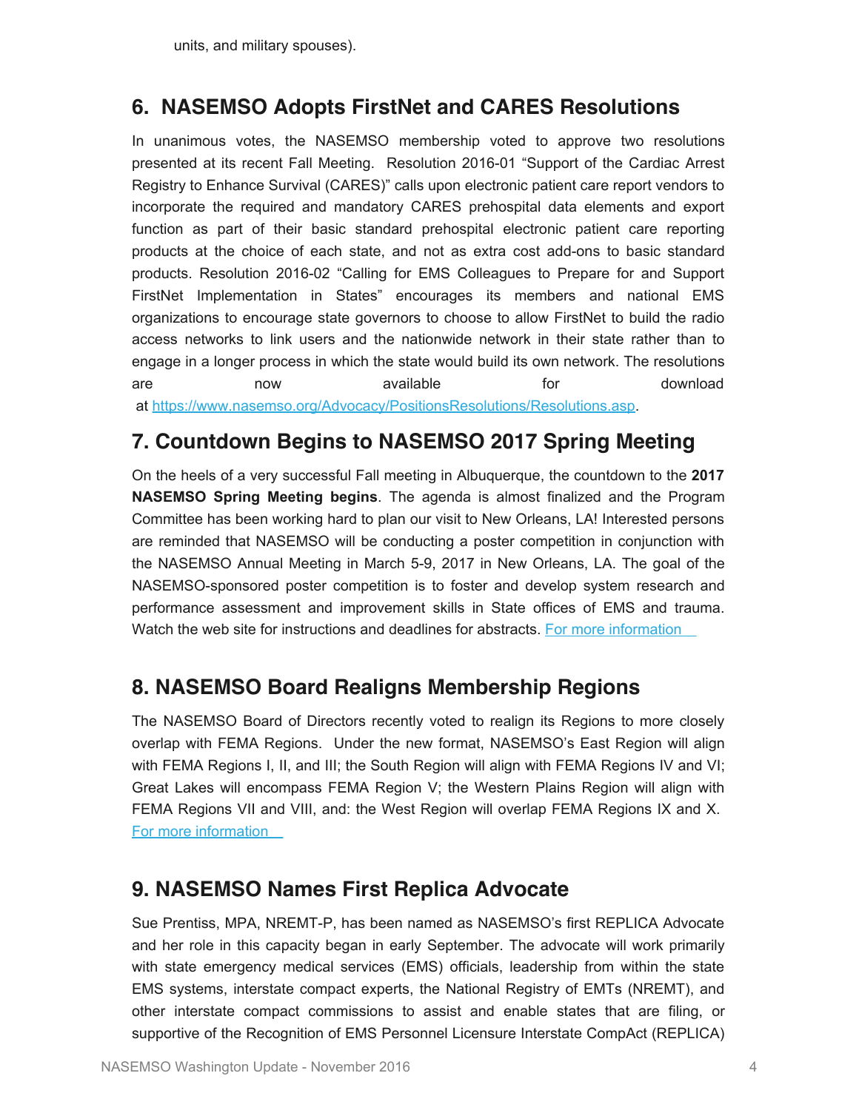#### **6. NASEMSO Adopts FirstNet and CARES Resolutions**

In unanimous votes, the NASEMSO membership voted to approve two resolutions presented at its recent Fall Meeting. Resolution 2016-01 "Support of the Cardiac Arrest Registry to Enhance Survival (CARES)" calls upon electronic patient care report vendors to incorporate the required and mandatory CARES prehospital data elements and export function as part of their basic standard prehospital electronic patient care reporting products at the choice of each state, and not as extra cost add-ons to basic standard products. Resolution 2016-02 "Calling for EMS Colleagues to Prepare for and Support FirstNet Implementation in States" encourages its members and national EMS organizations to encourage state governors to choose to allow FirstNet to build the radio access networks to link users and the nationwide network in their state rather than to engage in a longer process in which the state would build its own network. The resolutions are now available for download at <https://www.nasemso.org/Advocacy/PositionsResolutions/Resolutions.asp>.

#### **7. Countdown Begins to NASEMSO 2017 Spring Meeting**

On the heels of a very successful Fall meeting in Albuquerque, the countdown to the **2017 NASEMSO Spring Meeting begins**. The agenda is almost finalized and the Program Committee has been working hard to plan our visit to New Orleans, LA! Interested persons are reminded that NASEMSO will be conducting a poster competition in conjunction with the NASEMSO Annual Meeting in March 5-9, 2017 in New Orleans, LA. The goal of the NASEMSO-sponsored poster competition is to foster and develop system research and performance assessment and improvement skills in State offices of EMS and trauma. Watch the web site for instructions and deadlines for abstracts. For more information

### **8. NASEMSO Board Realigns Membership Regions**

The NASEMSO Board of Directors recently voted to realign its Regions to more closely overlap with FEMA Regions. Under the new format, NASEMSO's East Region will align with FEMA Regions I, II, and III; the South Region will align with FEMA Regions IV and VI; Great Lakes will encompass FEMA Region V; the Western Plains Region will align with FEMA Regions VII and VIII, and: the West Region will overlap FEMA Regions IX and X. [For more information](https://www.nasemso.org/Members/Board/documents/Proposed-New-Regions-for-NASEMSO-and-FEMA-Aug2016.pdf) 

#### **9. NASEMSO Names First Replica Advocate**

Sue Prentiss, MPA, NREMT-P, has been named as NASEMSO's first REPLICA Advocate and her role in this capacity began in early September. The advocate will work primarily with state emergency medical services (EMS) officials, leadership from within the state EMS systems, interstate compact experts, the National Registry of EMTs (NREMT), and other interstate compact commissions to assist and enable states that are filing, or supportive of the Recognition of EMS Personnel Licensure Interstate CompAct (REPLICA)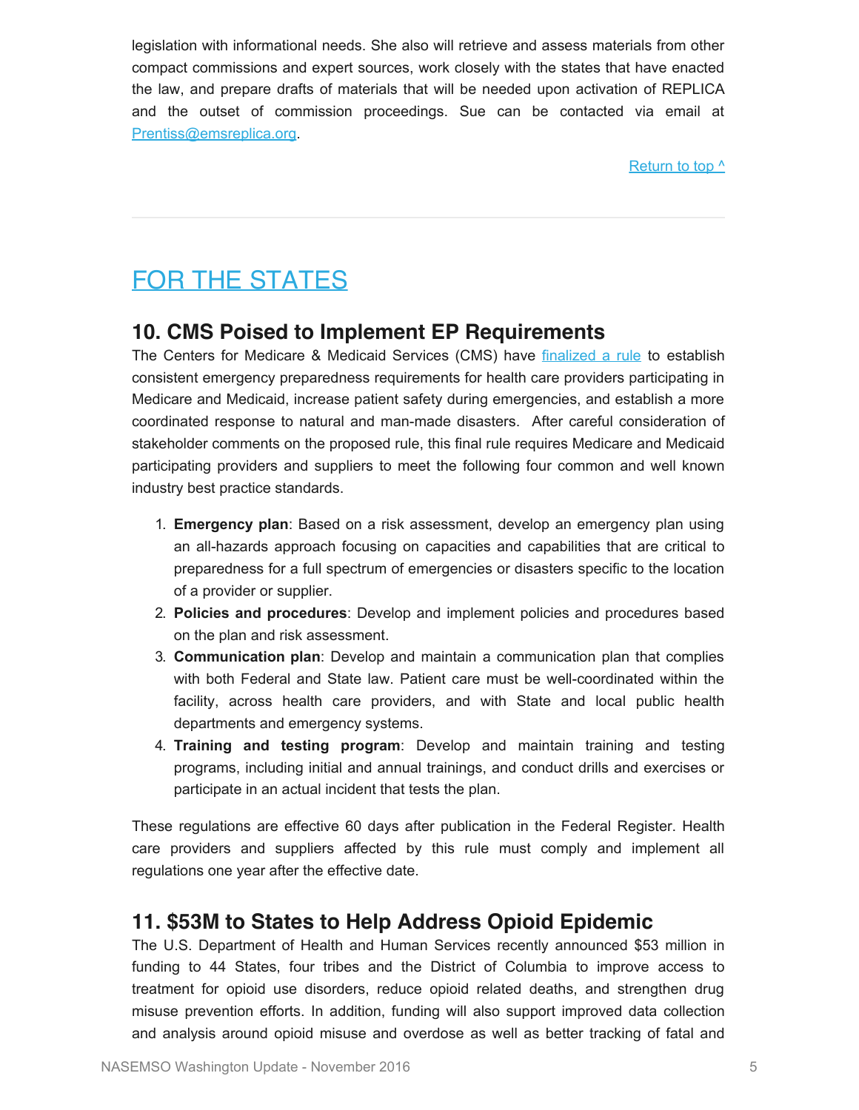legislation with informational needs. She also will retrieve and assess materials from other compact commissions and expert sources, work closely with the states that have enacted the law, and prepare drafts of materials that will be needed upon activation of REPLICA and the outset of commission proceedings. Sue can be contacted via email at [Prentiss@emsreplica.org](mailto:Prentiss@emsreplica.org).

[Return to top ^](#page-0-0)

# <span id="page-5-0"></span>FOR THE STATES

#### **10. CMS Poised to Implement EP Requirements**

The Centers for Medicare & Medicaid Services (CMS) have [finalized a rule](https://www.federalregister.gov/public-inspection) to establish consistent emergency preparedness requirements for health care providers participating in Medicare and Medicaid, increase patient safety during emergencies, and establish a more coordinated response to natural and man-made disasters. After careful consideration of stakeholder comments on the proposed rule, this final rule requires Medicare and Medicaid participating providers and suppliers to meet the following four common and well known industry best practice standards.

- 1. **Emergency plan**: Based on a risk assessment, develop an emergency plan using an all-hazards approach focusing on capacities and capabilities that are critical to preparedness for a full spectrum of emergencies or disasters specific to the location of a provider or supplier.
- 2. **Policies and procedures**: Develop and implement policies and procedures based on the plan and risk assessment.
- 3. **Communication plan**: Develop and maintain a communication plan that complies with both Federal and State law. Patient care must be well-coordinated within the facility, across health care providers, and with State and local public health departments and emergency systems.
- 4. **Training and testing program**: Develop and maintain training and testing programs, including initial and annual trainings, and conduct drills and exercises or participate in an actual incident that tests the plan.

These regulations are effective 60 days after publication in the Federal Register. Health care providers and suppliers affected by this rule must comply and implement all regulations one year after the effective date.

### **11. \$53M to States to Help Address Opioid Epidemic**

The U.S. Department of Health and Human Services recently announced \$53 million in funding to 44 States, four tribes and the District of Columbia to improve access to treatment for opioid use disorders, reduce opioid related deaths, and strengthen drug misuse prevention efforts. In addition, funding will also support improved data collection and analysis around opioid misuse and overdose as well as better tracking of fatal and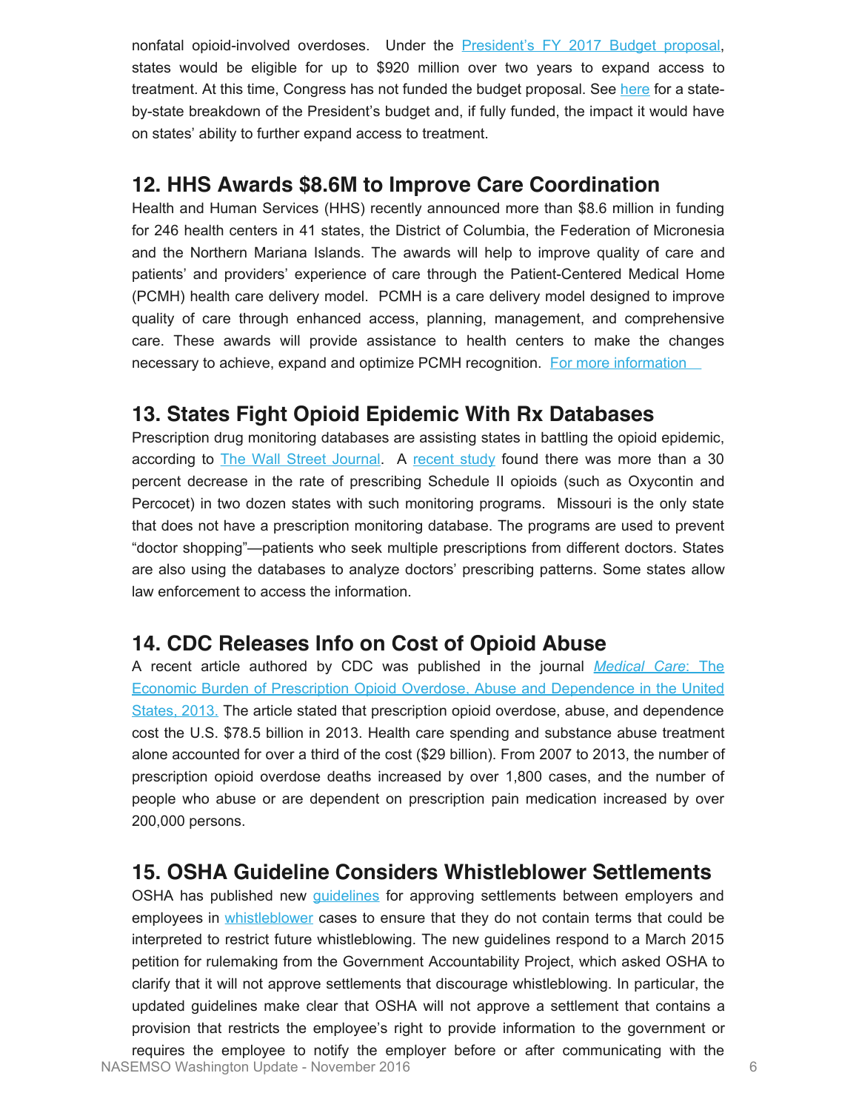nonfatal opioid-involved overdoses. Under the [President's FY 2017 Budget proposal](https://www.whitehouse.gov/the-press-office/2016/02/02/president-obama-proposes-11-billion-new-funding-address-prescription), states would be eligible for up to \$920 million over two years to expand access to treatment. At this time, Congress has not funded the budget proposal. See [here](https://www.whitehouse.gov/factsheets-prescription-opioid-abuse-and-heroin-use) for a stateby-state breakdown of the President's budget and, if fully funded, the impact it would have on states' ability to further expand access to treatment.

#### **12. HHS Awards \$8.6M to Improve Care Coordination**

Health and Human Services (HHS) recently announced more than \$8.6 million in funding for 246 health centers in 41 states, the District of Columbia, the Federation of Micronesia and the Northern Mariana Islands. The awards will help to improve quality of care and patients' and providers' experience of care through the Patient-Centered Medical Home (PCMH) health care delivery model. PCMH is a care delivery model designed to improve quality of care through enhanced access, planning, management, and comprehensive care. These awards will provide assistance to health centers to make the changes necessary to achieve, expand and optimize PCMH recognition. For more information

#### **13. States Fight Opioid Epidemic With Rx Databases**

Prescription drug monitoring databases are assisting states in battling the opioid epidemic, according to **[The Wall Street Journal](http://www.wsj.com/articles/states-fight-opioid-epidemic-with-prescription-databases-1472854536).** A [recent study](http://weill.cornell.edu/news/news/2016/06/prescription-drug-monitoring-programs-may-prevent-opioid-overdoses.html) found there was more than a 30 percent decrease in the rate of prescribing Schedule II opioids (such as Oxycontin and Percocet) in two dozen states with such monitoring programs. Missouri is the only state that does not have a prescription monitoring database. The programs are used to prevent "doctor shopping"—patients who seek multiple prescriptions from different doctors. States are also using the databases to analyze doctors' prescribing patterns. Some states allow law enforcement to access the information.

#### **14. CDC Releases Info on Cost of Opioid Abuse**

A recent article authored by CDC was published in the journal *[Medical Care](http://journals.lww.com/lww-medicalcare/Fulltext/2016/10000/The_Economic_Burden_of_Prescription_Opioid.2.aspx)*[: The](http://journals.lww.com/lww-medicalcare/Fulltext/2016/10000/The_Economic_Burden_of_Prescription_Opioid.2.aspx) [Economic Burden of Prescription Opioid Overdose, Abuse and Dependence in the United](http://journals.lww.com/lww-medicalcare/Fulltext/2016/10000/The_Economic_Burden_of_Prescription_Opioid.2.aspx) [States, 2013.](http://journals.lww.com/lww-medicalcare/Fulltext/2016/10000/The_Economic_Burden_of_Prescription_Opioid.2.aspx) The article stated that prescription opioid overdose, abuse, and dependence cost the U.S. \$78.5 billion in 2013. Health care spending and substance abuse treatment alone accounted for over a third of the cost (\$29 billion). From 2007 to 2013, the number of prescription opioid overdose deaths increased by over 1,800 cases, and the number of people who abuse or are dependent on prescription pain medication increased by over 200,000 persons.

### **15. OSHA Guideline Considers Whistleblower Settlements**

OSHA has published new [guidelines](http://www.whistleblowers.gov/memo/InterimGuidance-DeFactoGagOrderProvisions.html) for approving settlements between employers and employees in [whistleblower](http://www.whistleblowers.gov/) cases to ensure that they do not contain terms that could be interpreted to restrict future whistleblowing. The new guidelines respond to a March 2015 petition for rulemaking from the Government Accountability Project, which asked OSHA to clarify that it will not approve settlements that discourage whistleblowing. In particular, the updated guidelines make clear that OSHA will not approve a settlement that contains a provision that restricts the employee's right to provide information to the government or requires the employee to notify the employer before or after communicating with the NASEMSO Washington Update - November 2016 6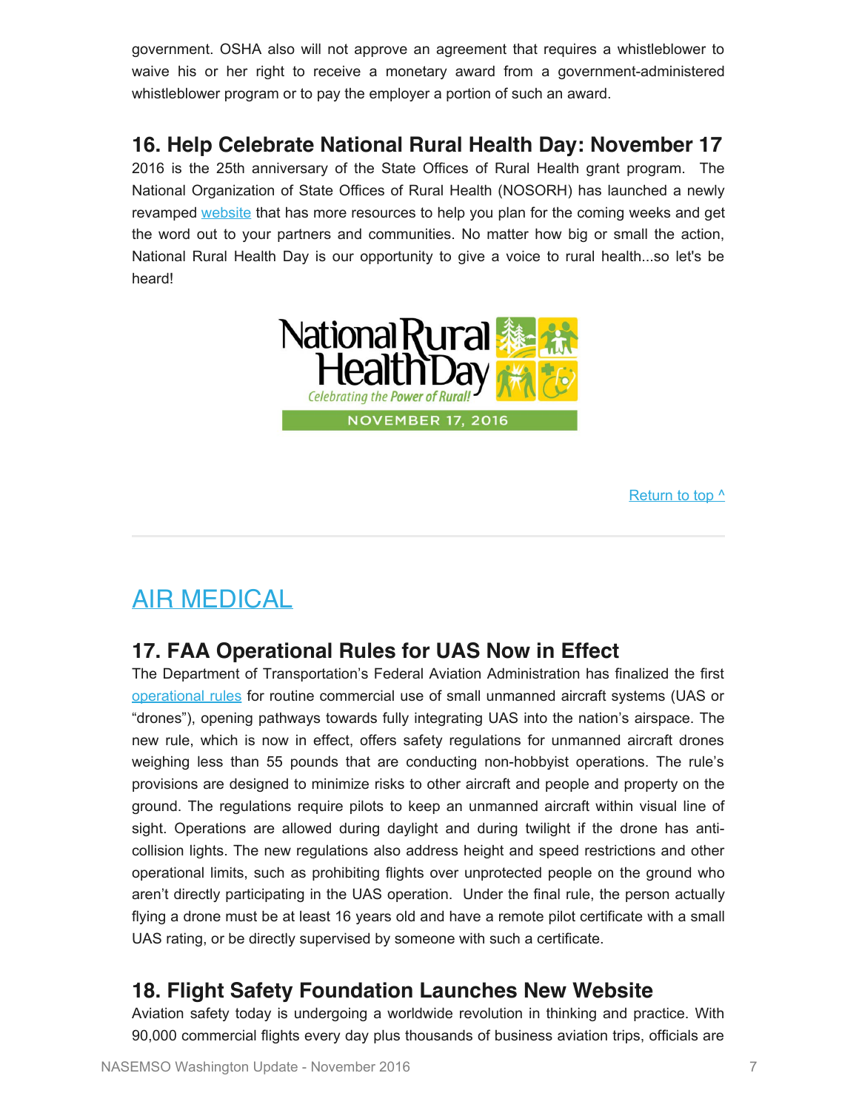government. OSHA also will not approve an agreement that requires a whistleblower to waive his or her right to receive a monetary award from a government-administered whistleblower program or to pay the employer a portion of such an award.

## **16. Help Celebrate National Rural Health Day: November 17**

2016 is the 25th anniversary of the State Offices of Rural Health grant program. The National Organization of State Offices of Rural Health (NOSORH) has launched a newly revamped [website](https://nosorh.org/calendar-events/nrhd/) that has more resources to help you plan for the coming weeks and get the word out to your partners and communities. No matter how big or small the action, National Rural Health Day is our opportunity to give a voice to rural health...so let's be heard!



Return to top  $\wedge$ 

# AIR MEDICAL

## **17. FAA Operational Rules for UAS Now in Effect**

The Department of Transportation's Federal Aviation Administration has finalized the first [operational rules](http://www.faa.gov/uas/media/Part_107_Summary.pdf) for routine commercial use of small unmanned aircraft systems (UAS or "drones"), opening pathways towards fully integrating UAS into the nation's airspace. The new rule, which is now in effect, offers safety regulations for unmanned aircraft drones weighing less than 55 pounds that are conducting non-hobbyist operations. The rule's provisions are designed to minimize risks to other aircraft and people and property on the ground. The regulations require pilots to keep an unmanned aircraft within visual line of sight. Operations are allowed during daylight and during twilight if the drone has anticollision lights. The new regulations also address height and speed restrictions and other operational limits, such as prohibiting flights over unprotected people on the ground who aren't directly participating in the UAS operation. Under the final rule, the person actually flying a drone must be at least 16 years old and have a remote pilot certificate with a small UAS rating, or be directly supervised by someone with such a certificate.

### **18. Flight Safety Foundation Launches New Website**

Aviation safety today is undergoing a worldwide revolution in thinking and practice. With 90,000 commercial flights every day plus thousands of business aviation trips, officials are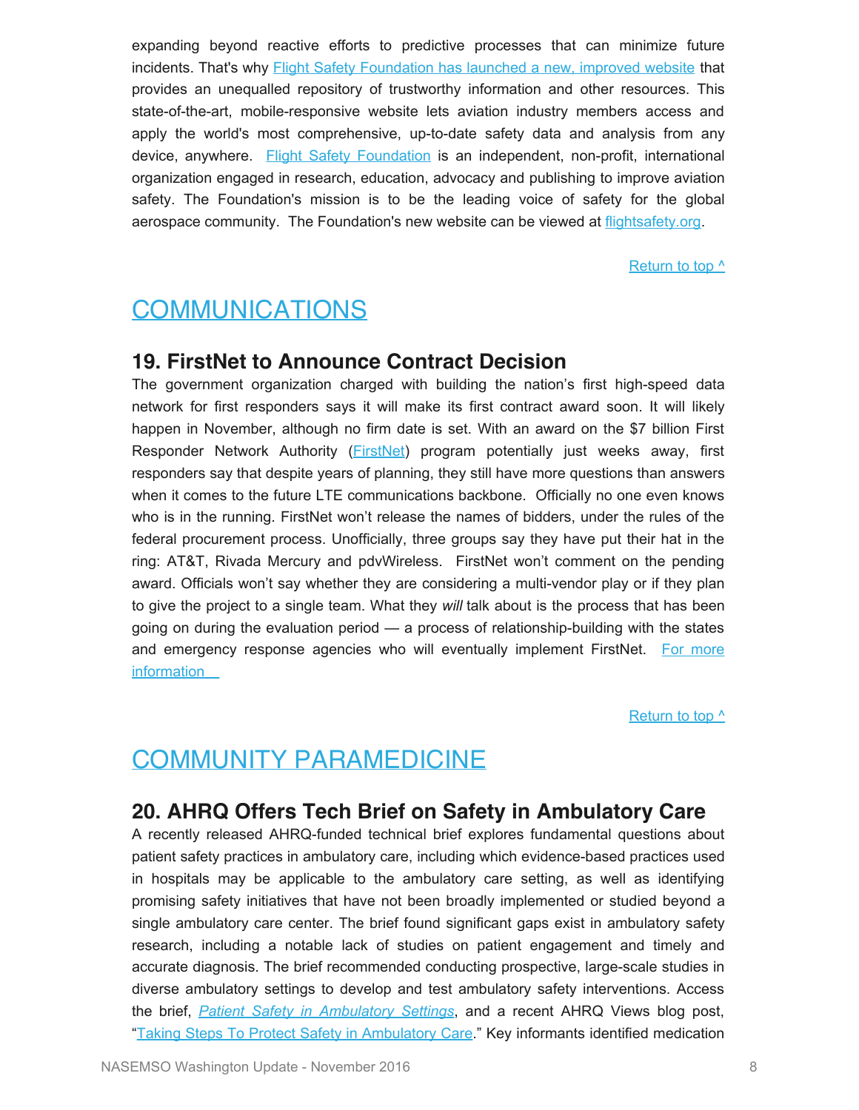expanding beyond reactive efforts to predictive processes that can minimize future incidents. That's why **Flight Safety Foundation has launched a new**, improved website that provides an unequalled repository of trustworthy information and other resources. This state-of-the-art, mobile-responsive website lets aviation industry members access and apply the world's most comprehensive, up-to-date safety data and analysis from any device, anywhere. [Flight Safety Foundation](https://flightsafety.org/) is an independent, non-profit, international organization engaged in research, education, advocacy and publishing to improve aviation safety. The Foundation's mission is to be the leading voice of safety for the global aerospace community. The Foundation's new website can be viewed at [flightsafety.org.](https://flightsafety.org/)

Return to top  $\wedge$ 

# <span id="page-8-0"></span>COMMUNICATIONS

#### **19. FirstNet to Announce Contract Decision**

The government organization charged with building the nation's first high-speed data network for first responders says it will make its first contract award soon. It will likely happen in November, although no firm date is set. With an award on the \$7 billion First Responder Network Authority (**FirstNet**) program potentially just weeks away, first responders say that despite years of planning, they still have more questions than answers when it comes to the future LTE communications backbone. Officially no one even knows who is in the running. FirstNet won't release the names of bidders, under the rules of the federal procurement process. Unofficially, three groups say they have put their hat in the ring: AT&T, Rivada Mercury and pdvWireless. FirstNet won't comment on the pending award. Officials won't say whether they are considering a multi-vendor play or if they plan to give the project to a single team. What they *will* talk about is the process that has been going on during the evaluation period — a process of relationship-building with the states and emergency response agencies who will eventually implement FirstNet. [For more](http://www.govtech.com/public-safety/Need-for-FirstNet-Greater-Than-Ever-First-Responders-Say.html) [information](http://www.govtech.com/public-safety/Need-for-FirstNet-Greater-Than-Ever-First-Responders-Say.html) 

[Return to top ^](#page-0-0)

# <span id="page-8-1"></span>COMMUNITY PARAMEDICINE

#### **20. AHRQ Offers Tech Brief on Safety in Ambulatory Care**

A recently released AHRQ-funded technical brief explores fundamental questions about patient safety practices in ambulatory care, including which evidence-based practices used in hospitals may be applicable to the ambulatory care setting, as well as identifying promising safety initiatives that have not been broadly implemented or studied beyond a single ambulatory care center. The brief found significant gaps exist in ambulatory safety research, including a notable lack of studies on patient engagement and timely and accurate diagnosis. The brief recommended conducting prospective, large-scale studies in diverse ambulatory settings to develop and test ambulatory safety interventions. Access the brief, *[Patient Safety in Ambulatory Settings](http://links.govdelivery.com/track?type=click&enid=ZWFzPTEmbWFpbGluZ2lkPTIwMTYxMDI2LjY1NTI5MjQxJm1lc3NhZ2VpZD1NREItUFJELUJVTC0yMDE2MTAyNi42NTUyOTI0MSZkYXRhYmFzZWlkPTEwMDEmc2VyaWFsPTE3MzU4NTIwJmVtYWlsaWQ9a3JvYmluc29uQGFzbWlpLm5ldCZ1c2VyaWQ9a3JvYmluc29uQGFzbWlpLm5ldCZmbD0mZXh0cmE9TXVsdGl2YXJpYXRlSWQ9JiYm&&&100&&&https://www.effectivehealthcare.ahrq.gov/search-for-guides-reviews-and-reports/?pageaction=displayproduct&productID=2322)*, and a recent AHRQ Views blog post, ["Taking Steps To Protect Safety in Ambulatory Care](http://links.govdelivery.com/track?type=click&enid=ZWFzPTEmbWFpbGluZ2lkPTIwMTYxMDI2LjY1NTI5MjQxJm1lc3NhZ2VpZD1NREItUFJELUJVTC0yMDE2MTAyNi42NTUyOTI0MSZkYXRhYmFzZWlkPTEwMDEmc2VyaWFsPTE3MzU4NTIwJmVtYWlsaWQ9a3JvYmluc29uQGFzbWlpLm5ldCZ1c2VyaWQ9a3JvYmluc29uQGFzbWlpLm5ldCZmbD0mZXh0cmE9TXVsdGl2YXJpYXRlSWQ9JiYm&&&101&&&http://www.ahrq.gov/news/blog/ahrqviews/taking-steps-to-protect-safety.html)." Key informants identified medication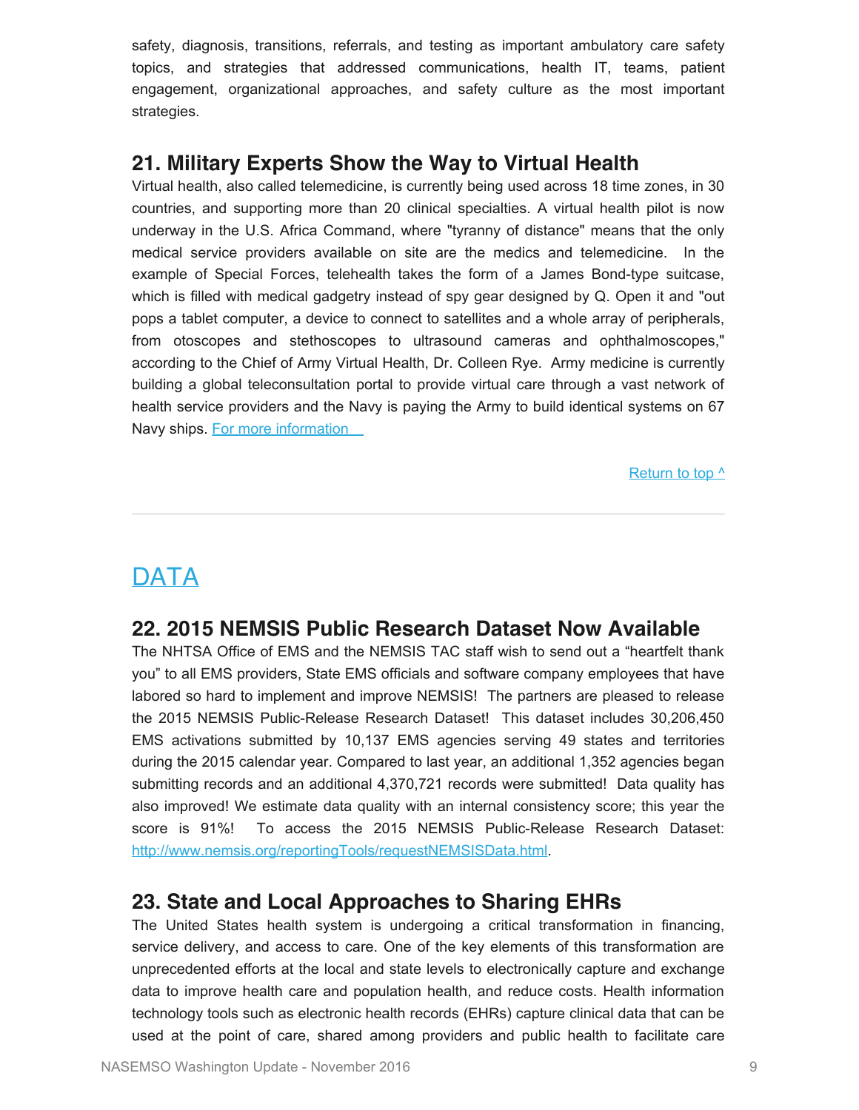safety, diagnosis, transitions, referrals, and testing as important ambulatory care safety topics, and strategies that addressed communications, health IT, teams, patient engagement, organizational approaches, and safety culture as the most important strategies.

#### **21. Military Experts Show the Way to Virtual Health**

Virtual health, also called telemedicine, is currently being used across 18 time zones, in 30 countries, and supporting more than 20 clinical specialties. A virtual health pilot is now underway in the U.S. Africa Command, where "tyranny of distance" means that the only medical service providers available on site are the medics and telemedicine. In the example of Special Forces, telehealth takes the form of a James Bond-type suitcase, which is filled with medical gadgetry instead of spy gear designed by Q. Open it and "out pops a tablet computer, a device to connect to satellites and a whole array of peripherals, from otoscopes and stethoscopes to ultrasound cameras and ophthalmoscopes," according to the Chief of Army Virtual Health, Dr. Colleen Rye. Army medicine is currently building a global teleconsultation portal to provide virtual care through a vast network of health service providers and the Navy is paying the Army to build identical systems on 67 Navy ships. [For more information](https://www.army.mil/article/177086/virtual_medicine_will_be_norm_in_future_crises_says_health_chief) 

Return to top  $\wedge$ 

# <span id="page-9-0"></span>**DATA**

### **22. 2015 NEMSIS Public Research Dataset Now Available**

The NHTSA Office of EMS and the NEMSIS TAC staff wish to send out a "heartfelt thank you" to all EMS providers, State EMS officials and software company employees that have labored so hard to implement and improve NEMSIS! The partners are pleased to release the 2015 NEMSIS Public-Release Research Dataset! This dataset includes 30,206,450 EMS activations submitted by 10,137 EMS agencies serving 49 states and territories during the 2015 calendar year. Compared to last year, an additional 1,352 agencies began submitting records and an additional 4,370,721 records were submitted! Data quality has also improved! We estimate data quality with an internal consistency score; this year the score is 91%! To access the 2015 NEMSIS Public-Release Research Dataset: <http://www.nemsis.org/reportingTools/requestNEMSISData.html>.

#### **23. State and Local Approaches to Sharing EHRs**

The United States health system is undergoing a critical transformation in financing, service delivery, and access to care. One of the key elements of this transformation are unprecedented efforts at the local and state levels to electronically capture and exchange data to improve health care and population health, and reduce costs. Health information technology tools such as electronic health records (EHRs) capture clinical data that can be used at the point of care, shared among providers and public health to facilitate care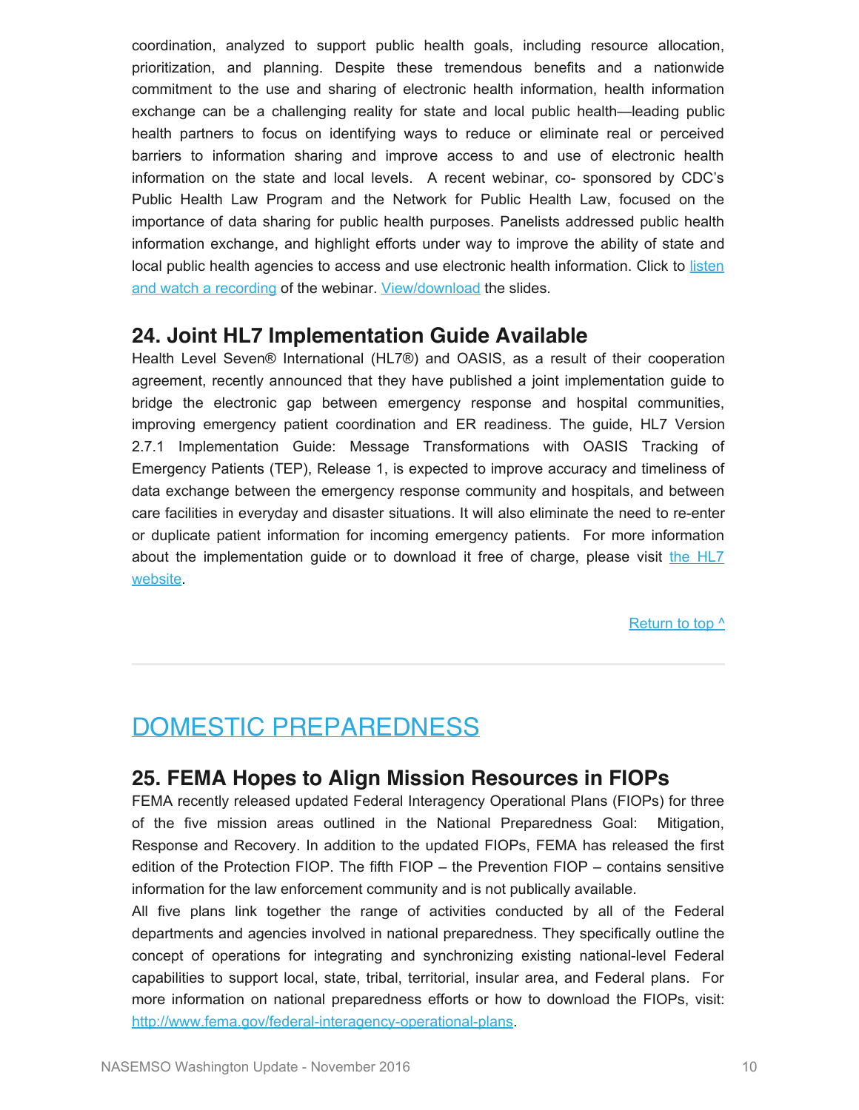coordination, analyzed to support public health goals, including resource allocation, prioritization, and planning. Despite these tremendous benefits and a nationwide commitment to the use and sharing of electronic health information, health information exchange can be a challenging reality for state and local public health—leading public health partners to focus on identifying ways to reduce or eliminate real or perceived barriers to information sharing and improve access to and use of electronic health information on the state and local levels. A recent webinar, co- sponsored by CDC's Public Health Law Program and the Network for Public Health Law, focused on the importance of data sharing for public health purposes. Panelists addressed public health information exchange, and highlight efforts under way to improve the ability of state and local public health agencies to access and use electronic health information. Click to [listen](https://networkforphl.webex.com/networkforphl/lsr.php?RCID=bcf9018c244b940cfbc2c90f07203311) [and watch a recording](https://networkforphl.webex.com/networkforphl/lsr.php?RCID=bcf9018c244b940cfbc2c90f07203311) of the webinar. [View/download](https://www.networkforphl.org/_asset/2f2sx3/Electronic-Health-Information---State-and-Local-Approaches-to-Data-sharing.pdf) the slides.

#### **24. Joint HL7 Implementation Guide Available**

Health Level Seven® International (HL7®) and OASIS, as a result of their cooperation agreement, recently announced that they have published a joint implementation guide to bridge the electronic gap between emergency response and hospital communities, improving emergency patient coordination and ER readiness. The guide, HL7 Version 2.7.1 Implementation Guide: Message Transformations with OASIS Tracking of Emergency Patients (TEP), Release 1, is expected to improve accuracy and timeliness of data exchange between the emergency response community and hospitals, and between care facilities in everyday and disaster situations. It will also eliminate the need to re-enter or duplicate patient information for incoming emergency patients. For more information about the implementation guide or to download it free of charge, please visit [the HL7](http://www.hl7.org/implement/standards/product_brief.cfm?product_id=439) [website](http://www.hl7.org/implement/standards/product_brief.cfm?product_id=439).

[Return to top ^](#page-0-0)

# <span id="page-10-0"></span>DOMESTIC PREPAREDNESS

### **25. FEMA Hopes to Align Mission Resources in FIOPs**

FEMA recently released updated Federal Interagency Operational Plans (FIOPs) for three of the five mission areas outlined in the National Preparedness Goal: Mitigation, Response and Recovery. In addition to the updated FIOPs, FEMA has released the first edition of the Protection FIOP. The fifth FIOP – the Prevention FIOP – contains sensitive information for the law enforcement community and is not publically available.

All five plans link together the range of activities conducted by all of the Federal departments and agencies involved in national preparedness. They specifically outline the concept of operations for integrating and synchronizing existing national-level Federal capabilities to support local, state, tribal, territorial, insular area, and Federal plans. For more information on national preparedness efforts or how to download the FIOPs, visit: [http://www.fema.gov/federal-interagency-operational-plans.](http://www.fema.gov/federal-interagency-operational-plans)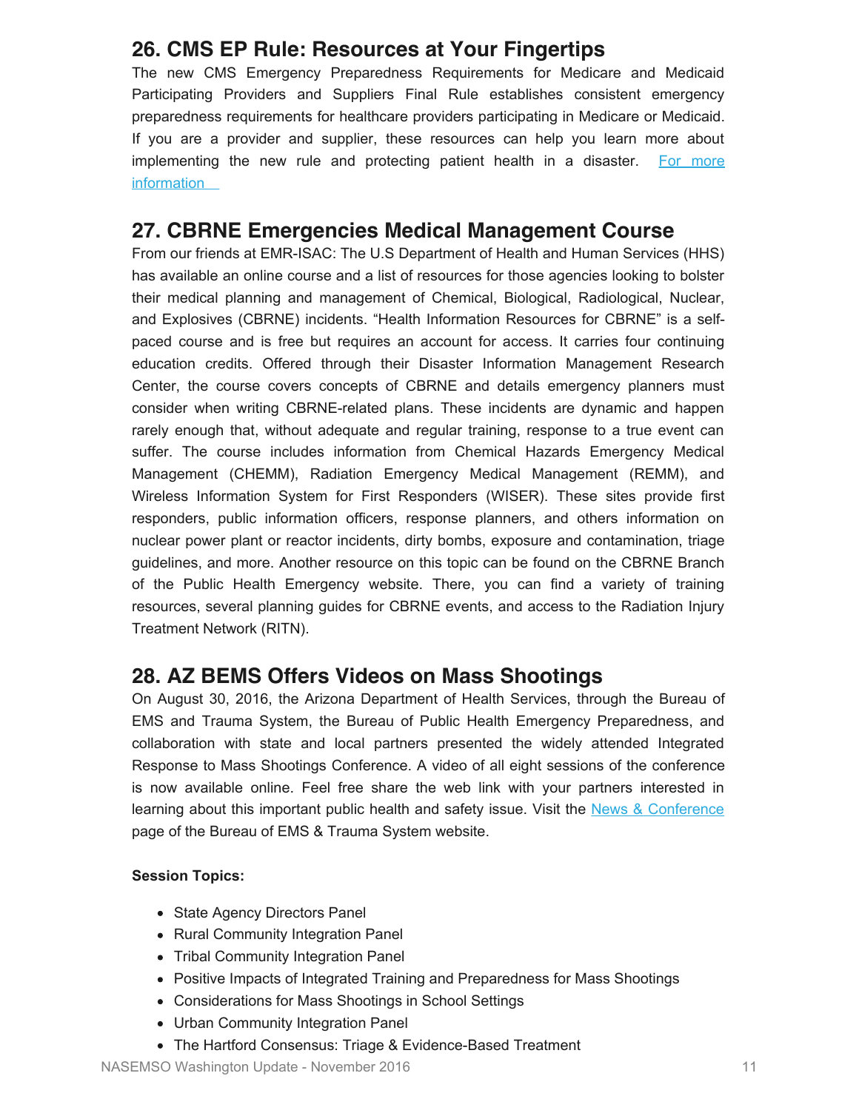### **26. CMS EP Rule: Resources at Your Fingertips**

The new CMS Emergency Preparedness Requirements for Medicare and Medicaid Participating Providers and Suppliers Final Rule establishes consistent emergency preparedness requirements for healthcare providers participating in Medicare or Medicaid. If you are a provider and supplier, these resources can help you learn more about implementing the new rule and protecting patient health in a disaster. [For more](https://asprtracie.hhs.gov/documents/cms-ep-rule-resources-at-your-fingertips.pdf) **information** 

### **27. CBRNE Emergencies Medical Management Course**

From our friends at EMR-ISAC: The U.S Department of Health and Human Services (HHS) has available an online course and a list of resources for those agencies looking to bolster their medical planning and management of Chemical, Biological, Radiological, Nuclear, and Explosives (CBRNE) incidents. "Health Information Resources for CBRNE" is a selfpaced course and is free but requires an account for access. It carries four continuing education credits. Offered through their Disaster Information Management Research Center, the course covers concepts of CBRNE and details emergency planners must consider when writing CBRNE-related plans. These incidents are dynamic and happen rarely enough that, without adequate and regular training, response to a true event can suffer. The course includes information from Chemical Hazards Emergency Medical Management (CHEMM), Radiation Emergency Medical Management (REMM), and Wireless Information System for First Responders (WISER). These sites provide first responders, public information officers, response planners, and others information on nuclear power plant or reactor incidents, dirty bombs, exposure and contamination, triage guidelines, and more. Another resource on this topic can be found on the CBRNE Branch of the Public Health Emergency website. There, you can find a variety of training resources, several planning guides for CBRNE events, and access to the Radiation Injury Treatment Network (RITN).

### **28. AZ BEMS Offers Videos on Mass Shootings**

On August 30, 2016, the Arizona Department of Health Services, through the Bureau of EMS and Trauma System, the Bureau of Public Health Emergency Preparedness, and collaboration with state and local partners presented the widely attended Integrated Response to Mass Shootings Conference. A video of all eight sessions of the conference is now available online. Feel free share the web link with your partners interested in learning about this important public health and safety issue. Visit the [News & Conference](http://www.azdhs.gov/preparedness/emergency-medical-services-trauma-system/index.php%23news-conference-home) page of the Bureau of EMS & Trauma System website.

#### **Session Topics:**

- State Agency Directors Panel
- Rural Community Integration Panel
- Tribal Community Integration Panel
- Positive Impacts of Integrated Training and Preparedness for Mass Shootings
- Considerations for Mass Shootings in School Settings
- Urban Community Integration Panel
- The Hartford Consensus: Triage & Evidence-Based Treatment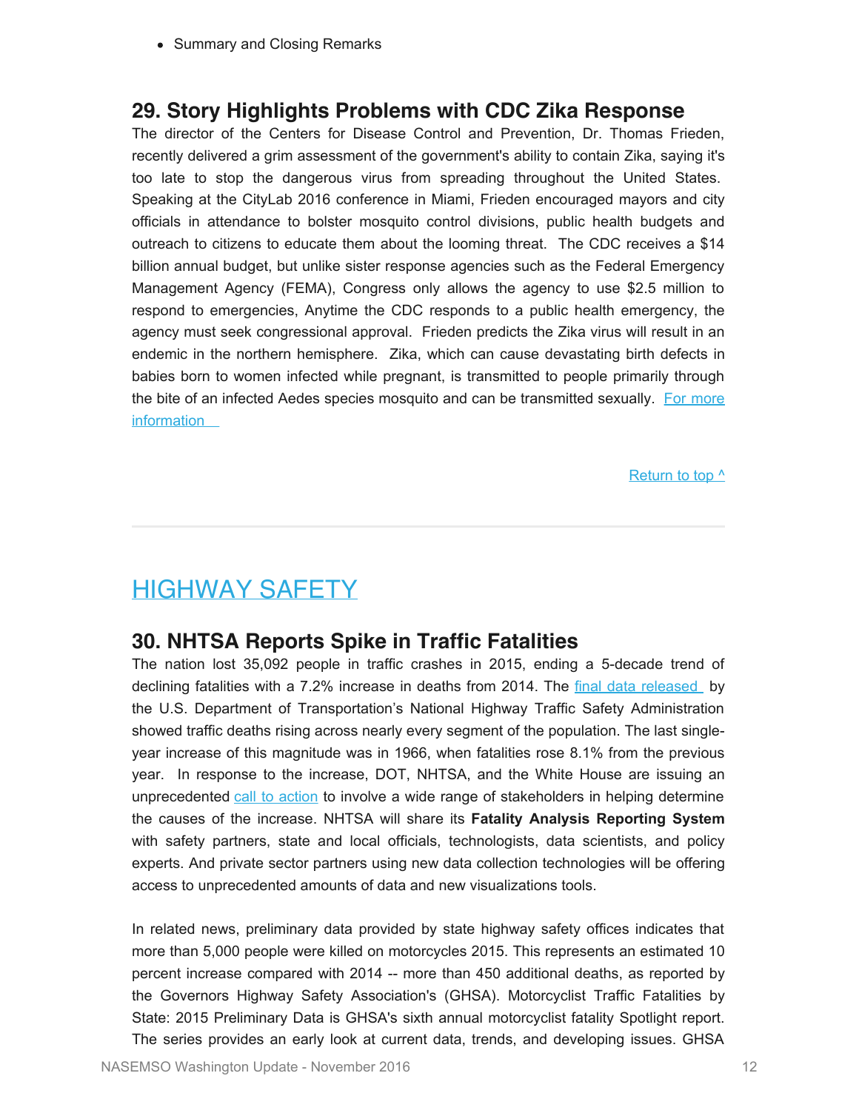• Summary and Closing Remarks

#### **29. Story Highlights Problems with CDC Zika Response**

The director of the Centers for Disease Control and Prevention, Dr. Thomas Frieden, recently delivered a grim assessment of the government's ability to contain Zika, saying it's too late to stop the dangerous virus from spreading throughout the United States. Speaking at the CityLab 2016 conference in Miami, Frieden encouraged mayors and city officials in attendance to bolster mosquito control divisions, public health budgets and outreach to citizens to educate them about the looming threat. The CDC receives a \$14 billion annual budget, but unlike sister response agencies such as the Federal Emergency Management Agency (FEMA), Congress only allows the agency to use \$2.5 million to respond to emergencies, Anytime the CDC responds to a public health emergency, the agency must seek congressional approval. Frieden predicts the Zika virus will result in an endemic in the northern hemisphere. Zika, which can cause devastating birth defects in babies born to women infected while pregnant, is transmitted to people primarily through the bite of an infected Aedes species mosquito and can be transmitted sexually. [For more](http://www.usatoday.com/story/news/2016/10/25/zika-virus-not-controllable-centers-for-disease-control-and-prevention/92728476/) **information** 

[Return to top ^](#page-0-0)

# <span id="page-12-0"></span>HIGHWAY SAFETY

#### **30. NHTSA Reports Spike in Traffic Fatalities**

The nation lost 35,092 people in traffic crashes in 2015, ending a 5-decade trend of declining fatalities with a 7.2% increase in deaths from 2014. The [final data released](https://crashstats.nhtsa.dot.gov/Api/Public/ViewPublication/812318) by the U.S. Department of Transportation's National Highway Traffic Safety Administration showed traffic deaths rising across nearly every segment of the population. The last singleyear increase of this magnitude was in 1966, when fatalities rose 8.1% from the previous year. In response to the increase, DOT, NHTSA, and the White House are issuing an unprecedented [call to action](https://www.transportation.gov/fastlane/2015-traffic-fatalities-data-has-just-been-released-call-action-download-and-analyze) to involve a wide range of stakeholders in helping determine the causes of the increase. NHTSA will share its **Fatality Analysis Reporting System** with safety partners, state and local officials, technologists, data scientists, and policy experts. And private sector partners using new data collection technologies will be offering access to unprecedented amounts of data and new visualizations tools.

In related news, preliminary data provided by state highway safety offices indicates that more than 5,000 people were killed on motorcycles 2015. This represents an estimated 10 percent increase compared with 2014 -- more than 450 additional deaths, as reported by the Governors Highway Safety Association's (GHSA). Motorcyclist Traffic Fatalities by State: 2015 Preliminary Data is GHSA's sixth annual motorcyclist fatality Spotlight report. The series provides an early look at current data, trends, and developing issues. GHSA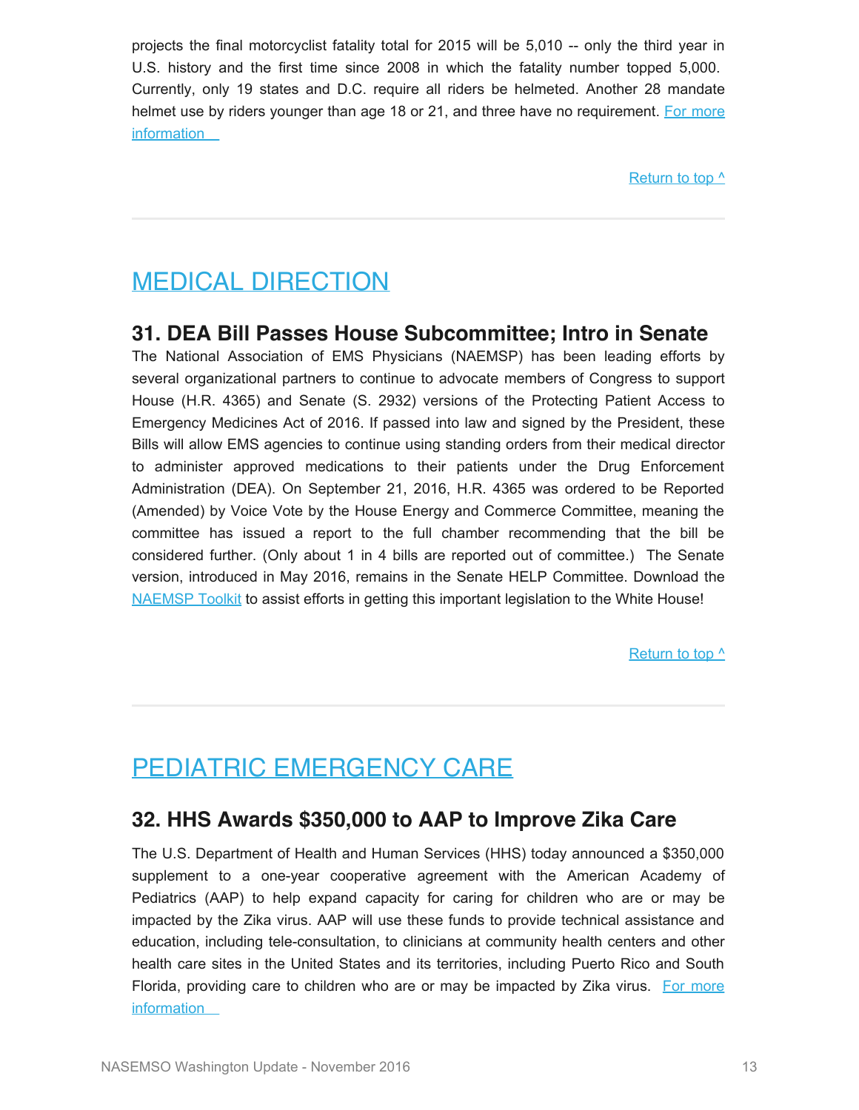projects the final motorcyclist fatality total for 2015 will be 5,010 -- only the third year in U.S. history and the first time since 2008 in which the fatality number topped 5,000. Currently, only 19 states and D.C. require all riders be helmeted. Another 28 mandate helmet use by riders younger than age 18 or 21, and three have no requirement. [For more](http://www.ghsa.org/html/publications/spotlight/motorcycle2015.html) [information](http://www.ghsa.org/html/publications/spotlight/motorcycle2015.html) 

Return to top  $\wedge$ 

# <span id="page-13-0"></span>MEDICAL DIRECTION

#### **31. DEA Bill Passes House Subcommittee; Intro in Senate**

The National Association of EMS Physicians (NAEMSP) has been leading efforts by several organizational partners to continue to advocate members of Congress to support House (H.R. 4365) and Senate (S. 2932) versions of the Protecting Patient Access to Emergency Medicines Act of 2016. If passed into law and signed by the President, these Bills will allow EMS agencies to continue using standing orders from their medical director to administer approved medications to their patients under the Drug Enforcement Administration (DEA). On September 21, 2016, H.R. 4365 was ordered to be Reported (Amended) by Voice Vote by the House Energy and Commerce Committee, meaning the committee has issued a report to the full chamber recommending that the bill be considered further. (Only about 1 in 4 bills are reported out of committee.) The Senate version, introduced in May 2016, remains in the Senate HELP Committee. Download the [NAEMSP Toolkit](http://naemsp.org/Pages/Advocacy.aspx) to assist efforts in getting this important legislation to the White House!

#### Return to top  $^{\wedge}$

# <span id="page-13-1"></span>PEDIATRIC EMERGENCY CARE

#### **32. HHS Awards \$350,000 to AAP to Improve Zika Care**

The U.S. Department of Health and Human Services (HHS) today announced a \$350,000 supplement to a one-year cooperative agreement with the American Academy of Pediatrics (AAP) to help expand capacity for caring for children who are or may be impacted by the Zika virus. AAP will use these funds to provide technical assistance and education, including tele-consultation, to clinicians at community health centers and other health care sites in the United States and its territories, including Puerto Rico and South Florida, providing care to children who are or may be impacted by Zika virus. [For more](http://www.hhs.gov/about/news/2016/09/08/hhs-awards-350000-to-american-academy-of-pediatrics.html) **information**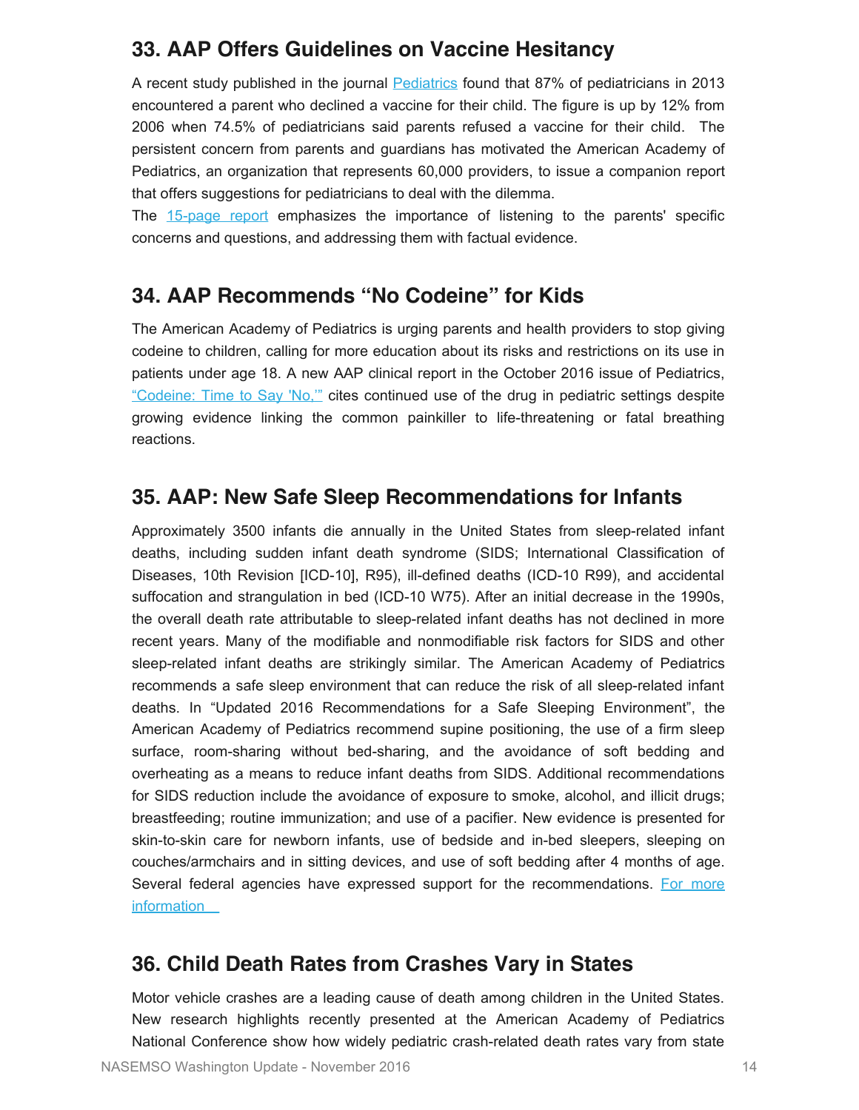### **33. AAP Offers Guidelines on Vaccine Hesitancy**

A recent study published in the journal [Pediatrics](http://pediatrics.aappublications.org/content/early/2016/08/25/peds.2016-2127?sso=1&sso_redirect_count=1&nfstatus=401&nftoken=00000000-0000-0000-0000-000000000000&nfstatusdescription=ERROR%3a+No+local+token) found that 87% of pediatricians in 2013 encountered a parent who declined a vaccine for their child. The figure is up by 12% from 2006 when 74.5% of pediatricians said parents refused a vaccine for their child. The persistent concern from parents and guardians has motivated the American Academy of Pediatrics, an organization that represents 60,000 providers, to issue a companion report that offers suggestions for pediatricians to deal with the dilemma.

The [15-page report](http://pediatrics.aappublications.org/content/early/2016/08/25/peds.2016-2146) emphasizes the importance of listening to the parents' specific concerns and questions, and addressing them with factual evidence.

## **34. AAP Recommends "No Codeine" for Kids**

The American Academy of Pediatrics is urging parents and health providers to stop giving codeine to children, calling for more education about its risks and restrictions on its use in patients under age 18. A new AAP clinical report in the October 2016 issue of Pediatrics, ["Codeine: Time to Say 'No,'"](http://dx.doi.org/10.1542/peds.2016-2396) cites continued use of the drug in pediatric settings despite growing evidence linking the common painkiller to life-threatening or fatal breathing reactions.

### **35. AAP: New Safe Sleep Recommendations for Infants**

Approximately 3500 infants die annually in the United States from sleep-related infant deaths, including sudden infant death syndrome (SIDS; International Classification of Diseases, 10th Revision [ICD-10], R95), ill-defined deaths (ICD-10 R99), and accidental suffocation and strangulation in bed (ICD-10 W75). After an initial decrease in the 1990s, the overall death rate attributable to sleep-related infant deaths has not declined in more recent years. Many of the modifiable and nonmodifiable risk factors for SIDS and other sleep-related infant deaths are strikingly similar. The American Academy of Pediatrics recommends a safe sleep environment that can reduce the risk of all sleep-related infant deaths. In "Updated 2016 Recommendations for a Safe Sleeping Environment", the American Academy of Pediatrics recommend supine positioning, the use of a firm sleep surface, room-sharing without bed-sharing, and the avoidance of soft bedding and overheating as a means to reduce infant deaths from SIDS. Additional recommendations for SIDS reduction include the avoidance of exposure to smoke, alcohol, and illicit drugs; breastfeeding; routine immunization; and use of a pacifier. New evidence is presented for skin-to-skin care for newborn infants, use of bedside and in-bed sleepers, sleeping on couches/armchairs and in sitting devices, and use of soft bedding after 4 months of age. Several federal agencies have expressed support for the recommendations. [For more](http://pediatrics.aappublications.org/content/early/2016/10/20/peds.2016-2938) **information** 

## **36. Child Death Rates from Crashes Vary in States**

Motor vehicle crashes are a leading cause of death among children in the United States. New research highlights recently presented at the American Academy of Pediatrics National Conference show how widely pediatric crash-related death rates vary from state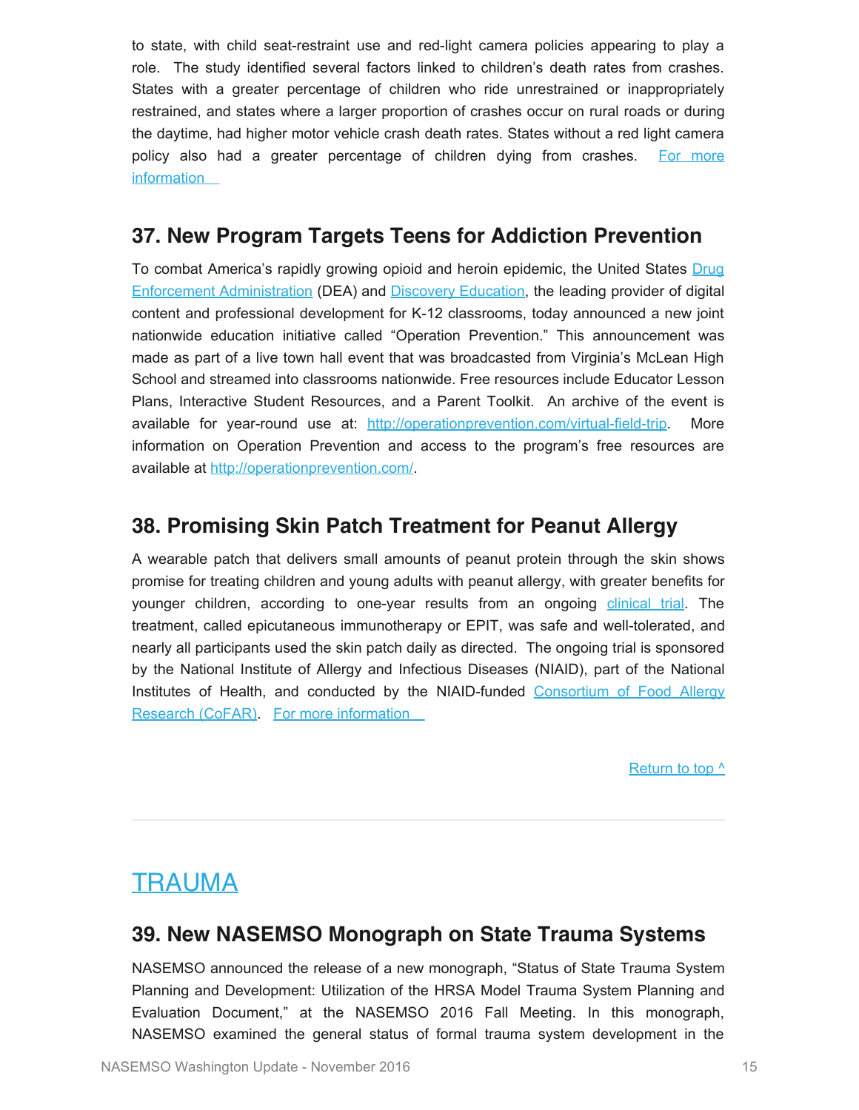to state, with child seat-restraint use and red-light camera policies appearing to play a role. The study identified several factors linked to children's death rates from crashes. States with a greater percentage of children who ride unrestrained or inappropriately restrained, and states where a larger proportion of crashes occur on rural roads or during the daytime, had higher motor vehicle crash death rates. States without a red light camera policy also had a greater percentage of children dying from crashes. [For more](https://www.aap.org/en-us/about-the-aap/aap-press-room/Pages/Child-Death-Rates-from-Motor-Vehicle-Crashes-Vary-Widely-Between-States.aspx) **information** 

### **37. New Program Targets Teens for Addiction Prevention**

To combat America's rapidly growing opioid and heroin epidemic, the United States [Drug](http://links.govdelivery.com/track?type=click&enid=ZWFzPTEmbXNpZD0mYXVpZD0mbWFpbGluZ2lkPTIwMTYxMDI1LjY1NDg2NDAxJm1lc3NhZ2VpZD1NREItUFJELUJVTC0yMDE2MTAyNS42NTQ4NjQwMSZkYXRhYmFzZWlkPTEwMDEmc2VyaWFsPTE2ODM2Mzc3JmVtYWlsaWQ9cm9iaW5zb25AbmFzZW1zby5vcmcmdXNlcmlkPXJvYmluc29uQG5hc2Vtc28ub3JnJnRhcmdldGlkPSZmbD0mbXZpZD0mZXh0cmE9JiYm&&&100&&&https://www.dea.gov/index.shtml) [Enforcement Administration](http://links.govdelivery.com/track?type=click&enid=ZWFzPTEmbXNpZD0mYXVpZD0mbWFpbGluZ2lkPTIwMTYxMDI1LjY1NDg2NDAxJm1lc3NhZ2VpZD1NREItUFJELUJVTC0yMDE2MTAyNS42NTQ4NjQwMSZkYXRhYmFzZWlkPTEwMDEmc2VyaWFsPTE2ODM2Mzc3JmVtYWlsaWQ9cm9iaW5zb25AbmFzZW1zby5vcmcmdXNlcmlkPXJvYmluc29uQG5hc2Vtc28ub3JnJnRhcmdldGlkPSZmbD0mbXZpZD0mZXh0cmE9JiYm&&&100&&&https://www.dea.gov/index.shtml) (DEA) and [Discovery Education](http://links.govdelivery.com/track?type=click&enid=ZWFzPTEmbXNpZD0mYXVpZD0mbWFpbGluZ2lkPTIwMTYxMDI1LjY1NDg2NDAxJm1lc3NhZ2VpZD1NREItUFJELUJVTC0yMDE2MTAyNS42NTQ4NjQwMSZkYXRhYmFzZWlkPTEwMDEmc2VyaWFsPTE2ODM2Mzc3JmVtYWlsaWQ9cm9iaW5zb25AbmFzZW1zby5vcmcmdXNlcmlkPXJvYmluc29uQG5hc2Vtc28ub3JnJnRhcmdldGlkPSZmbD0mbXZpZD0mZXh0cmE9JiYm&&&101&&&http://www.discoveryeducation.com/), the leading provider of digital content and professional development for K-12 classrooms, today announced a new joint nationwide education initiative called "Operation Prevention." This announcement was made as part of a live town hall event that was broadcasted from Virginia's McLean High School and streamed into classrooms nationwide. Free resources include Educator Lesson Plans, Interactive Student Resources, and a Parent Toolkit. An archive of the event is available for year-round use at: [http://operationprevention.com/virtual-field-trip](http://links.govdelivery.com/track?type=click&enid=ZWFzPTEmbXNpZD0mYXVpZD0mbWFpbGluZ2lkPTIwMTYxMDI1LjY1NDg2NDAxJm1lc3NhZ2VpZD1NREItUFJELUJVTC0yMDE2MTAyNS42NTQ4NjQwMSZkYXRhYmFzZWlkPTEwMDEmc2VyaWFsPTE2ODM2Mzc3JmVtYWlsaWQ9cm9iaW5zb25AbmFzZW1zby5vcmcmdXNlcmlkPXJvYmluc29uQG5hc2Vtc28ub3JnJnRhcmdldGlkPSZmbD0mbXZpZD0mZXh0cmE9JiYm&&&104&&&http://operationprevention.com/virtual-field-trip). More information on Operation Prevention and access to the program's free resources are available at [http://operationprevention.com/.](http://links.govdelivery.com/track?type=click&enid=ZWFzPTEmbXNpZD0mYXVpZD0mbWFpbGluZ2lkPTIwMTYxMDI1LjY1NDg2NDAxJm1lc3NhZ2VpZD1NREItUFJELUJVTC0yMDE2MTAyNS42NTQ4NjQwMSZkYXRhYmFzZWlkPTEwMDEmc2VyaWFsPTE2ODM2Mzc3JmVtYWlsaWQ9cm9iaW5zb25AbmFzZW1zby5vcmcmdXNlcmlkPXJvYmluc29uQG5hc2Vtc28ub3JnJnRhcmdldGlkPSZmbD0mbXZpZD0mZXh0cmE9JiYm&&&105&&&http://operationprevention.com/)

### **38. Promising Skin Patch Treatment for Peanut Allergy**

A wearable patch that delivers small amounts of peanut protein through the skin shows promise for treating children and young adults with peanut allergy, with greater benefits for younger children, according to one-year results from an ongoing [clinical trial](https://clinicaltrials.gov/ct2/show/NCT01904604). The treatment, called epicutaneous immunotherapy or EPIT, was safe and well-tolerated, and nearly all participants used the skin patch daily as directed. The ongoing trial is sponsored by the National Institute of Allergy and Infectious Diseases (NIAID), part of the National Institutes of Health, and conducted by the NIAID-funded [Consortium of Food Allergy](http://www.cofargroup.org/) [Research](http://www.cofargroup.org/) (CoFAR). [For more information](https://www.nih.gov/news-events/news-releases/skin-patch-treat-peanut-allergy-shows-benefit-children) 

Return to top  $\wedge$ 

# <span id="page-15-0"></span>**TRAUMA**

## **39. New NASEMSO Monograph on State Trauma Systems**

NASEMSO announced the release of a new monograph, "Status of State Trauma System Planning and Development: Utilization of the HRSA Model Trauma System Planning and Evaluation Document," at the NASEMSO 2016 Fall Meeting. In this monograph, NASEMSO examined the general status of formal trauma system development in the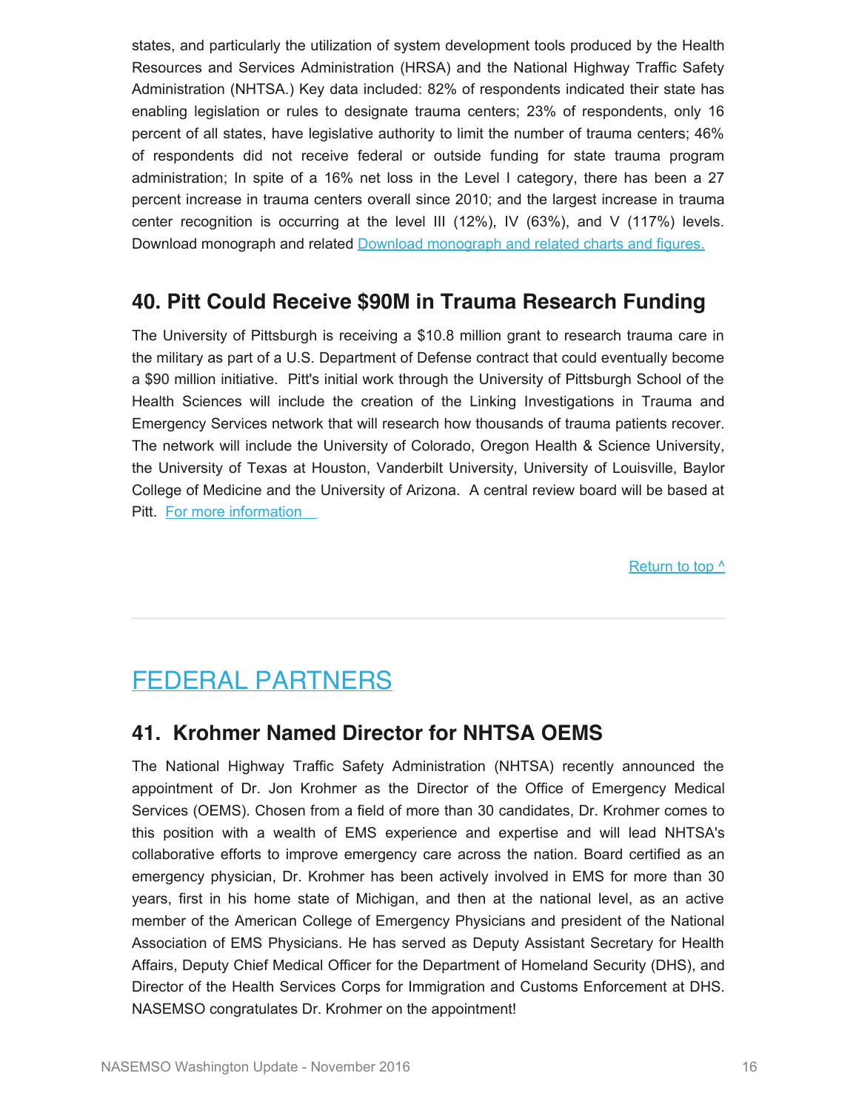states, and particularly the utilization of system development tools produced by the Health Resources and Services Administration (HRSA) and the National Highway Traffic Safety Administration (NHTSA.) Key data included: 82% of respondents indicated their state has enabling legislation or rules to designate trauma centers; 23% of respondents, only 16 percent of all states, have legislative authority to limit the number of trauma centers; 46% of respondents did not receive federal or outside funding for state trauma program administration; In spite of a 16% net loss in the Level I category, there has been a 27 percent increase in trauma centers overall since 2010; and the largest increase in trauma center recognition is occurring at the level III (12%), IV (63%), and V (117%) levels. Download monograph and related [Download monograph and related charts and figures.](https://www.nasemso.org/Resources/Monographs/)

### **40. Pitt Could Receive \$90M in Trauma Research Funding**

The University of Pittsburgh is receiving a \$10.8 million grant to research trauma care in the military as part of a U.S. Department of Defense contract that could eventually become a \$90 million initiative. Pitt's initial work through the University of Pittsburgh School of the Health Sciences will include the creation of the Linking Investigations in Trauma and Emergency Services network that will research how thousands of trauma patients recover. The network will include the University of Colorado, Oregon Health & Science University, the University of Texas at Houston, Vanderbilt University, University of Louisville, Baylor College of Medicine and the University of Arizona. A central review board will be based at Pitt. [For more information](http://www.upmc.com/media/NewsReleases/2016/Pages/lites-dod.aspx) 

[Return to top ^](#page-0-0)

# <span id="page-16-0"></span>FEDERAL PARTNERS

#### **41. Krohmer Named Director for NHTSA OEMS**

The National Highway Traffic Safety Administration (NHTSA) recently announced the appointment of Dr. Jon Krohmer as the Director of the Office of Emergency Medical Services (OEMS). Chosen from a field of more than 30 candidates, Dr. Krohmer comes to this position with a wealth of EMS experience and expertise and will lead NHTSA's collaborative efforts to improve emergency care across the nation. Board certified as an emergency physician, Dr. Krohmer has been actively involved in EMS for more than 30 years, first in his home state of Michigan, and then at the national level, as an active member of the American College of Emergency Physicians and president of the National Association of EMS Physicians. He has served as Deputy Assistant Secretary for Health Affairs, Deputy Chief Medical Officer for the Department of Homeland Security (DHS), and Director of the Health Services Corps for Immigration and Customs Enforcement at DHS. NASEMSO congratulates Dr. Krohmer on the appointment!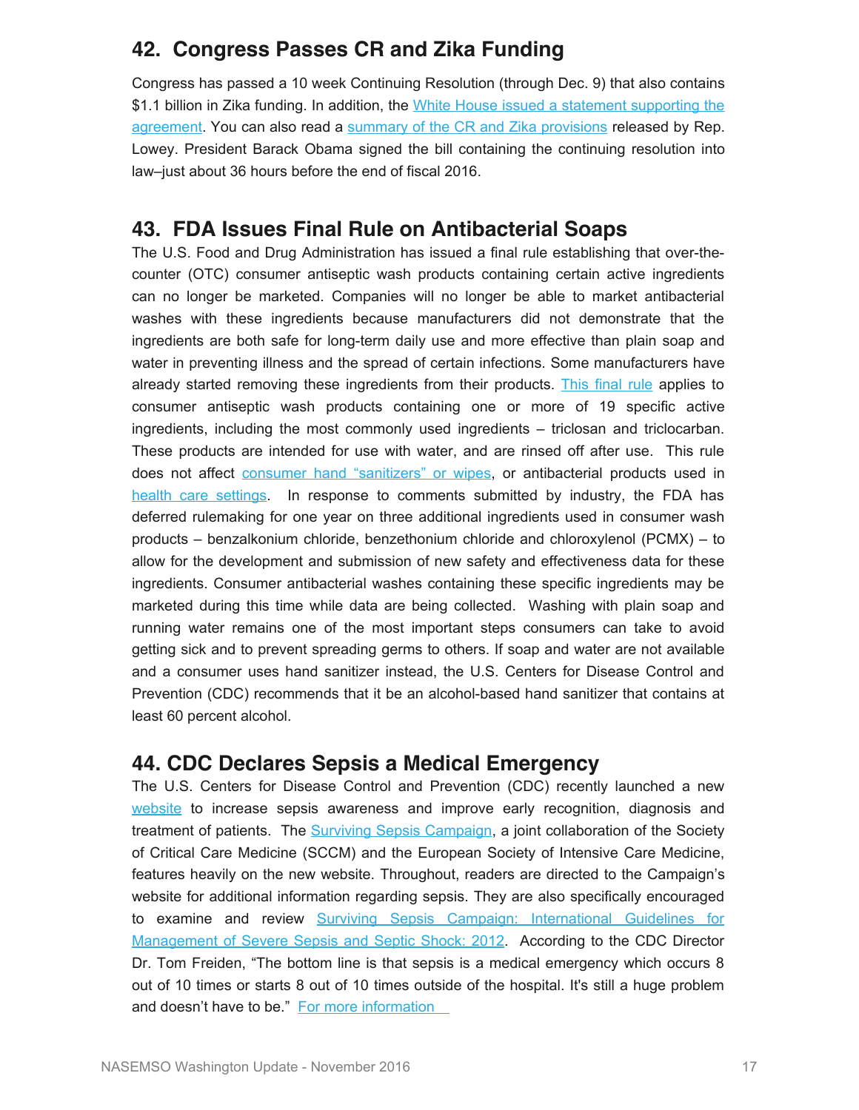## **42. Congress Passes CR and Zika Funding**

Congress has passed a 10 week Continuing Resolution (through Dec. 9) that also contains \$1.1 billion in Zika funding. In addition, the [White House issued a statement supporting the](https://www.whitehouse.gov/sites/default/files/omb/legislative/sap/114/saps5325s_20160928.pdf) [agreement](https://www.whitehouse.gov/sites/default/files/omb/legislative/sap/114/saps5325s_20160928.pdf). You can also read a [summary of the CR and Zika provisions](http://democrats.appropriations.house.gov/sites/democrats.appropriations.house.gov/files/wysiwyg_uploaded/CR%20summary.pdf) released by Rep. Lowey. President Barack Obama signed the bill containing the continuing resolution into law–just about 36 hours before the end of fiscal 2016.

### **43. FDA Issues Final Rule on Antibacterial Soaps**

The U.S. Food and Drug Administration has issued a final rule establishing that over-thecounter (OTC) consumer antiseptic wash products containing certain active ingredients can no longer be marketed. Companies will no longer be able to market antibacterial washes with these ingredients because manufacturers did not demonstrate that the ingredients are both safe for long-term daily use and more effective than plain soap and water in preventing illness and the spread of certain infections. Some manufacturers have already started removing these ingredients from their products. [This final rule](https://www.federalregister.gov/articles/2016/09/06/2016-21337/safety-and-effectiveness-of-consumer-antiseptics-topical-antimicrobial-drug-products-for) applies to consumer antiseptic wash products containing one or more of 19 specific active ingredients, including the most commonly used ingredients – triclosan and triclocarban. These products are intended for use with water, and are rinsed off after use. This rule does not affect [consumer hand "sanitizers" or wipes](http://www.fda.gov/NewsEvents/Newsroom/PressAnnouncements/ucm509097.htm), or antibacterial products used in [health care settings](http://www.fda.gov/NewsEvents/Newsroom/PressAnnouncements/ucm445002.htm). In response to comments submitted by industry, the FDA has deferred rulemaking for one year on three additional ingredients used in consumer wash products – benzalkonium chloride, benzethonium chloride and chloroxylenol (PCMX) – to allow for the development and submission of new safety and effectiveness data for these ingredients. Consumer antibacterial washes containing these specific ingredients may be marketed during this time while data are being collected. Washing with plain soap and running water remains one of the most important steps consumers can take to avoid getting sick and to prevent spreading germs to others. If soap and water are not available and a consumer uses hand sanitizer instead, the U.S. Centers for Disease Control and Prevention (CDC) recommends that it be an alcohol-based hand sanitizer that contains at least 60 percent alcohol.

#### **44. CDC Declares Sepsis a Medical Emergency**

The U.S. Centers for Disease Control and Prevention (CDC) recently launched a new [website](http://www.cdc.gov/sepsis/) to increase sepsis awareness and improve early recognition, diagnosis and treatment of patients. The **Surviving Sepsis Campaign**, a joint collaboration of the Society of Critical Care Medicine (SCCM) and the European Society of Intensive Care Medicine, features heavily on the new website. Throughout, readers are directed to the Campaign's website for additional information regarding sepsis. They are also specifically encouraged to examine and review [Surviving Sepsis Campaign: International Guidelines for](http://www.survivingsepsis.org/Guidelines/Pages/default.aspx) [Management of Severe Sepsis and Septic Shock: 2012.](http://www.survivingsepsis.org/Guidelines/Pages/default.aspx) According to the CDC Director Dr. Tom Freiden, "The bottom line is that sepsis is a medical emergency which occurs 8 out of 10 times or starts 8 out of 10 times outside of the hospital. It's still a huge problem and doesn't have to be." For more information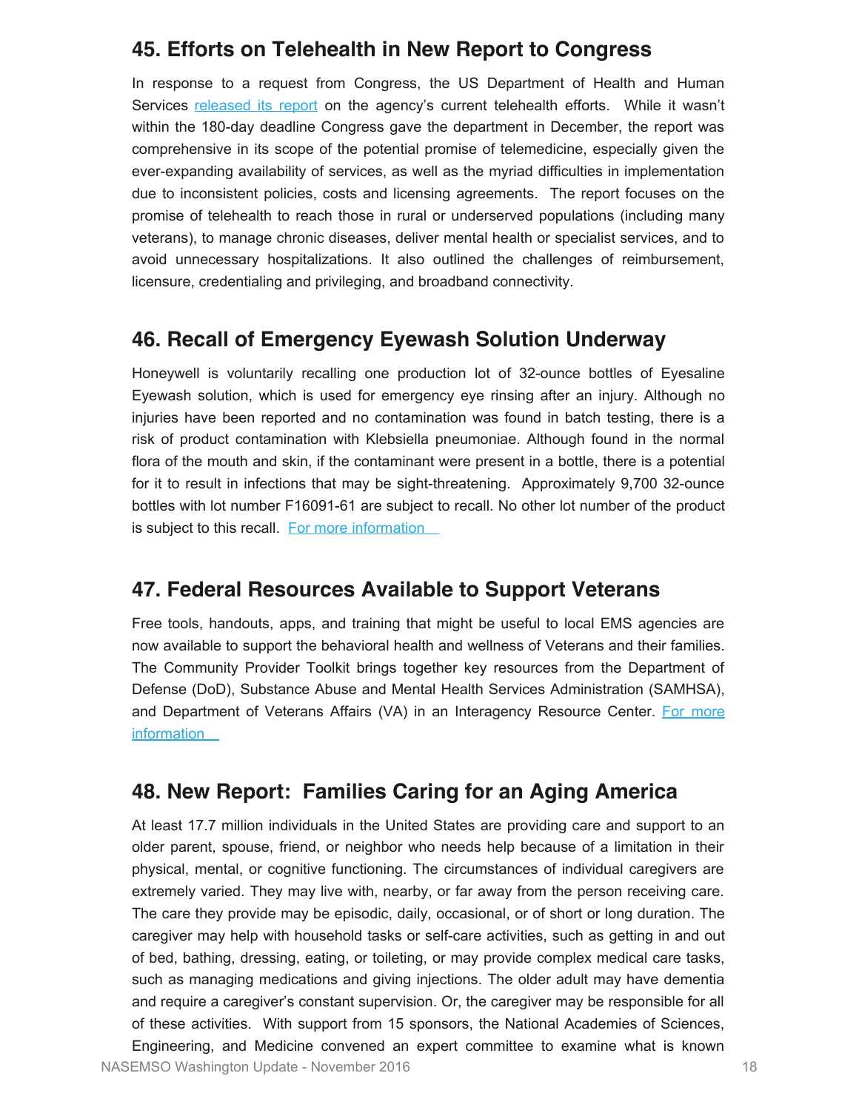#### **45. Efforts on Telehealth in New Report to Congress**

In response to a request from Congress, the US Department of Health and Human Services [released its report](https://aspe.hhs.gov/sites/default/files/pdf/206751/TelemedicineE-HealthReport.pdf) on the agency's current telehealth efforts. While it wasn't within the 180-day deadline Congress gave the department in December, the report was comprehensive in its scope of the potential promise of telemedicine, especially given the ever-expanding availability of services, as well as the myriad difficulties in implementation due to inconsistent policies, costs and licensing agreements. The report focuses on the promise of telehealth to reach those in rural or underserved populations (including many veterans), to manage chronic diseases, deliver mental health or specialist services, and to avoid unnecessary hospitalizations. It also outlined the challenges of reimbursement, licensure, credentialing and privileging, and broadband connectivity.

#### **46. Recall of Emergency Eyewash Solution Underway**

Honeywell is voluntarily recalling one production lot of 32-ounce bottles of Eyesaline Eyewash solution, which is used for emergency eye rinsing after an injury. Although no injuries have been reported and no contamination was found in batch testing, there is a risk of product contamination with Klebsiella pneumoniae. Although found in the normal flora of the mouth and skin, if the contaminant were present in a bottle, there is a potential for it to result in infections that may be sight-threatening. Approximately 9,700 32-ounce bottles with lot number F16091-61 are subject to recall. No other lot number of the product is subject to this recall. [For more information](http://www.fda.gov/Safety/MedWatch/SafetyInformation/SafetyAlertsforHumanMedicalProducts/ucm517484.htm) 

#### **47. Federal Resources Available to Support Veterans**

Free tools, handouts, apps, and training that might be useful to local EMS agencies are now available to support the behavioral health and wellness of Veterans and their families. The Community Provider Toolkit brings together key resources from the Department of Defense (DoD), Substance Abuse and Mental Health Services Administration (SAMHSA), and Department of Veterans Affairs (VA) in an Interagency Resource Center. [For more](http://www.mentalhealth.va.gov/communityproviders/itf.asp) **information** 

#### **48. New Report: Families Caring for an Aging America**

At least 17.7 million individuals in the United States are providing care and support to an older parent, spouse, friend, or neighbor who needs help because of a limitation in their physical, mental, or cognitive functioning. The circumstances of individual caregivers are extremely varied. They may live with, nearby, or far away from the person receiving care. The care they provide may be episodic, daily, occasional, or of short or long duration. The caregiver may help with household tasks or self-care activities, such as getting in and out of bed, bathing, dressing, eating, or toileting, or may provide complex medical care tasks, such as managing medications and giving injections. The older adult may have dementia and require a caregiver's constant supervision. Or, the caregiver may be responsible for all of these activities. With support from 15 sponsors, the National Academies of Sciences, Engineering, and Medicine convened an expert committee to examine what is known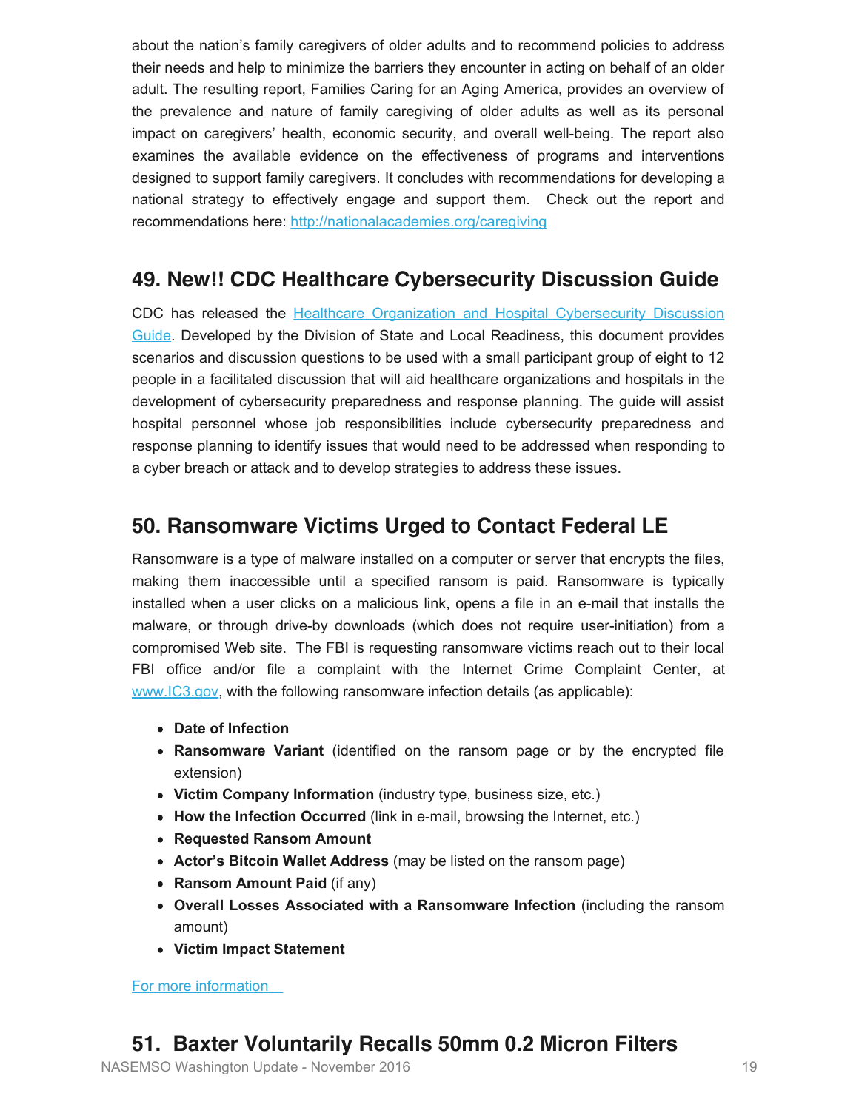about the nation's family caregivers of older adults and to recommend policies to address their needs and help to minimize the barriers they encounter in acting on behalf of an older adult. The resulting report, Families Caring for an Aging America, provides an overview of the prevalence and nature of family caregiving of older adults as well as its personal impact on caregivers' health, economic security, and overall well-being. The report also examines the available evidence on the effectiveness of programs and interventions designed to support family caregivers. It concludes with recommendations for developing a national strategy to effectively engage and support them. Check out the report and recommendations here:<http://nationalacademies.org/caregiving>

## **49. New!! CDC Healthcare Cybersecurity Discussion Guide**

CDC has released the [Healthcare Organization and Hospital Cybersecurity Discussion](http://www.cdc.gov/phpr/healthcare/documents/healthcare-organization-and-hospital-cyber-discussion-guide.pdf) [Guide](http://www.cdc.gov/phpr/healthcare/documents/healthcare-organization-and-hospital-cyber-discussion-guide.pdf). Developed by the Division of State and Local Readiness, this document provides scenarios and discussion questions to be used with a small participant group of eight to 12 people in a facilitated discussion that will aid healthcare organizations and hospitals in the development of cybersecurity preparedness and response planning. The guide will assist hospital personnel whose job responsibilities include cybersecurity preparedness and response planning to identify issues that would need to be addressed when responding to a cyber breach or attack and to develop strategies to address these issues.

## **50. Ransomware Victims Urged to Contact Federal LE**

Ransomware is a type of malware installed on a computer or server that encrypts the files, making them inaccessible until a specified ransom is paid. Ransomware is typically installed when a user clicks on a malicious link, opens a file in an e-mail that installs the malware, or through drive-by downloads (which does not require user-initiation) from a compromised Web site. The FBI is requesting ransomware victims reach out to their local FBI office and/or file a complaint with the Internet Crime Complaint Center, at [www.IC3.gov,](https://www.ic3.gov/) with the following ransomware infection details (as applicable):

- **Date of Infection**
- **Ransomware Variant** (identified on the ransom page or by the encrypted file extension)
- **Victim Company Information** (industry type, business size, etc.)
- **How the Infection Occurred** (link in e-mail, browsing the Internet, etc.)
- **Requested Ransom Amount**
- **Actor's Bitcoin Wallet Address** (may be listed on the ransom page)
- **Ransom Amount Paid** (if any)
- **Overall Losses Associated with a Ransomware Infection** (including the ransom amount)
- **Victim Impact Statement**

[For more information](https://www.ic3.gov/media/2016/160915.aspx) 

## **51. Baxter Voluntarily Recalls 50mm 0.2 Micron Filters**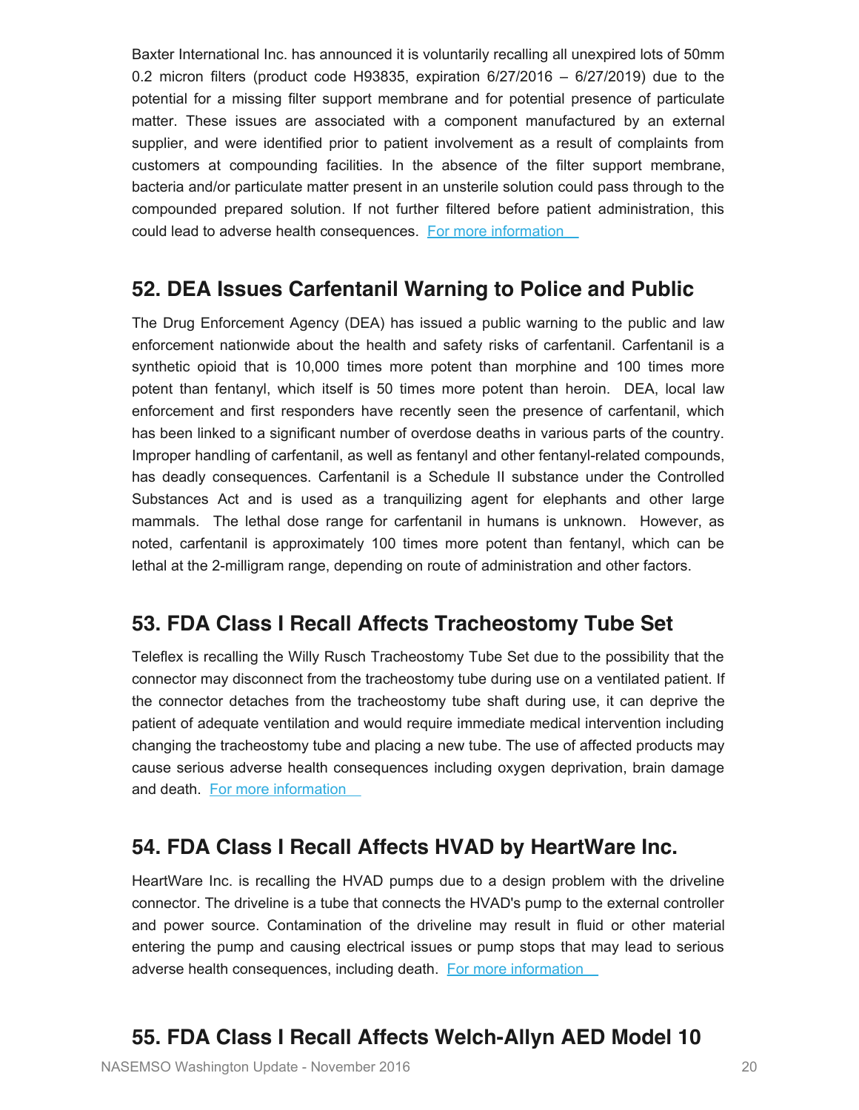Baxter International Inc. has announced it is voluntarily recalling all unexpired lots of 50mm 0.2 micron filters (product code H93835, expiration 6/27/2016 – 6/27/2019) due to the potential for a missing filter support membrane and for potential presence of particulate matter. These issues are associated with a component manufactured by an external supplier, and were identified prior to patient involvement as a result of complaints from customers at compounding facilities. In the absence of the filter support membrane, bacteria and/or particulate matter present in an unsterile solution could pass through to the compounded prepared solution. If not further filtered before patient administration, this could lead to adverse health consequences. For more information

#### **52. DEA Issues Carfentanil Warning to Police and Public**

The Drug Enforcement Agency (DEA) has issued a public warning to the public and law enforcement nationwide about the health and safety risks of carfentanil. Carfentanil is a synthetic opioid that is 10,000 times more potent than morphine and 100 times more potent than fentanyl, which itself is 50 times more potent than heroin. DEA, local law enforcement and first responders have recently seen the presence of carfentanil, which has been linked to a significant number of overdose deaths in various parts of the country. Improper handling of carfentanil, as well as fentanyl and other fentanyl-related compounds, has deadly consequences. Carfentanil is a Schedule II substance under the Controlled Substances Act and is used as a tranquilizing agent for elephants and other large mammals. The lethal dose range for carfentanil in humans is unknown. However, as noted, carfentanil is approximately 100 times more potent than fentanyl, which can be lethal at the 2-milligram range, depending on route of administration and other factors.

### **53. FDA Class I Recall Affects Tracheostomy Tube Set**

Teleflex is recalling the Willy Rusch Tracheostomy Tube Set due to the possibility that the connector may disconnect from the tracheostomy tube during use on a ventilated patient. If the connector detaches from the tracheostomy tube shaft during use, it can deprive the patient of adequate ventilation and would require immediate medical intervention including changing the tracheostomy tube and placing a new tube. The use of affected products may cause serious adverse health consequences including oxygen deprivation, brain damage and death. [For more information](http://www.fda.gov/MedicalDevices/Safety/ListofRecalls/ucm526022.htm) 

#### **54. FDA Class I Recall Affects HVAD by HeartWare Inc.**

HeartWare Inc. is recalling the HVAD pumps due to a design problem with the driveline connector. The driveline is a tube that connects the HVAD's pump to the external controller and power source. Contamination of the driveline may result in fluid or other material entering the pump and causing electrical issues or pump stops that may lead to serious adverse health consequences, including death. For more information

### **55. FDA Class I Recall Affects Welch-Allyn AED Model 10**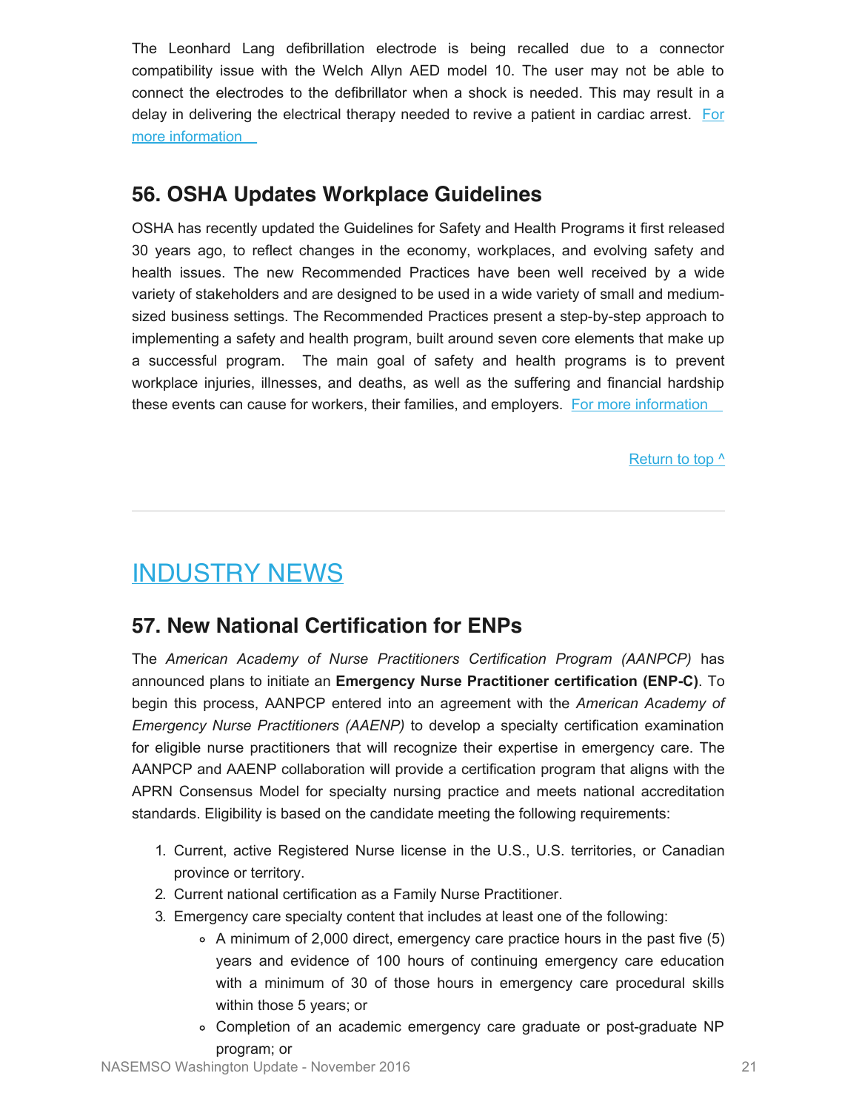The Leonhard Lang defibrillation electrode is being recalled due to a connector compatibility issue with the Welch Allyn AED model 10. The user may not be able to connect the electrodes to the defibrillator when a shock is needed. This may result in a delay in delivering the electrical therapy needed to revive a patient in cardiac arrest. [For](http://www.fda.gov/MedicalDevices/Safety/ListofRecalls/ucm525244.htm) [more information](http://www.fda.gov/MedicalDevices/Safety/ListofRecalls/ucm525244.htm) 

## **56. OSHA Updates Workplace Guidelines**

OSHA has recently updated the Guidelines for Safety and Health Programs it first released 30 years ago, to reflect changes in the economy, workplaces, and evolving safety and health issues. The new Recommended Practices have been well received by a wide variety of stakeholders and are designed to be used in a wide variety of small and mediumsized business settings. The Recommended Practices present a step-by-step approach to implementing a safety and health program, built around seven core elements that make up a successful program. The main goal of safety and health programs is to prevent workplace injuries, illnesses, and deaths, as well as the suffering and financial hardship these events can cause for workers, their families, and employers. [For more information](https://www.osha.gov/shpguidelines/) 

Return to top  $\wedge$ 

# <span id="page-21-0"></span>INDUSTRY NEWS

## **57. New National Certification for ENPs**

The *American Academy of Nurse Practitioners Certification Program (AANPCP)* has announced plans to initiate an **Emergency Nurse Practitioner certification (ENP-C)**. To begin this process, AANPCP entered into an agreement with the *American Academy of Emergency Nurse Practitioners (AAENP)* to develop a specialty certification examination for eligible nurse practitioners that will recognize their expertise in emergency care. The AANPCP and AAENP collaboration will provide a certification program that aligns with the APRN Consensus Model for specialty nursing practice and meets national accreditation standards. Eligibility is based on the candidate meeting the following requirements:

- 1. Current, active Registered Nurse license in the U.S., U.S. territories, or Canadian province or territory.
- 2. Current national certification as a Family Nurse Practitioner.
- 3. Emergency care specialty content that includes at least one of the following:
	- $\circ$  A minimum of 2,000 direct, emergency care practice hours in the past five (5) years and evidence of 100 hours of continuing emergency care education with a minimum of 30 of those hours in emergency care procedural skills within those 5 years; or
	- Completion of an academic emergency care graduate or post-graduate NP program; or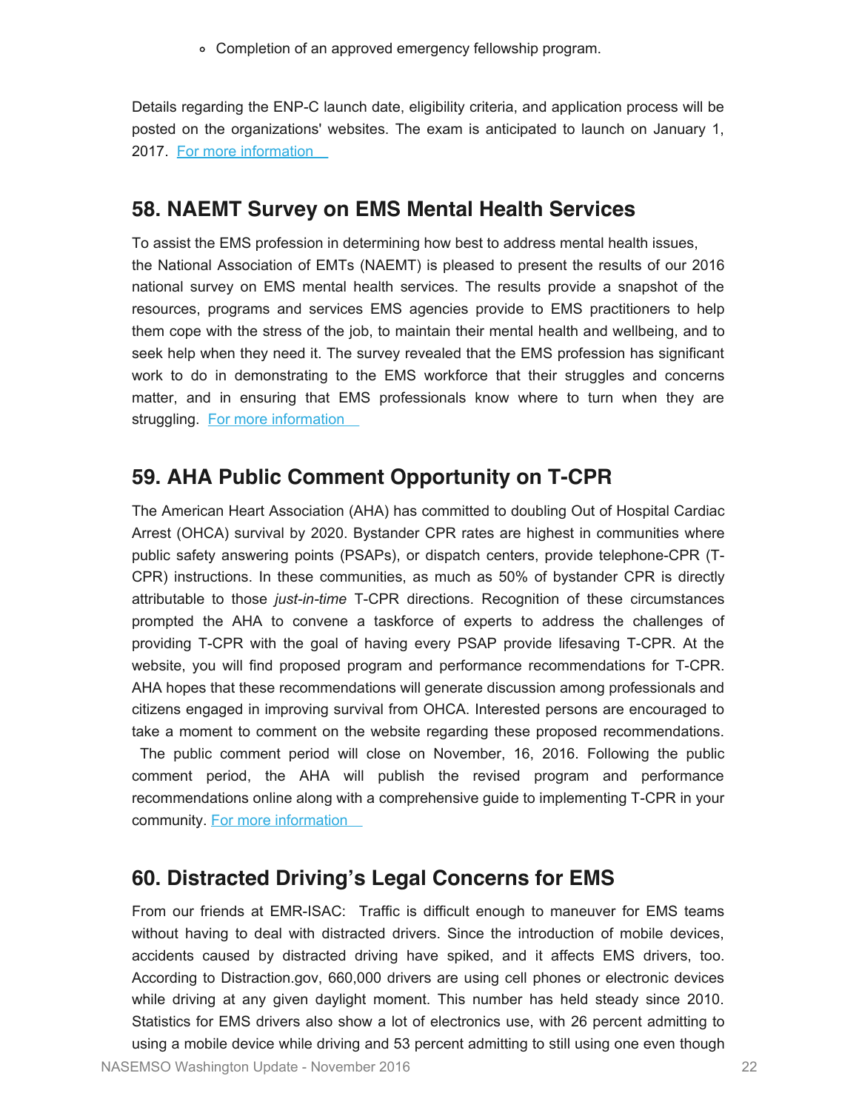Completion of an approved emergency fellowship program.

Details regarding the ENP-C launch date, eligibility criteria, and application process will be posted on the organizations' websites. The exam is anticipated to launch on January 1, 2017. [For more information](http://aaenp-natl.org/) 

#### **58. NAEMT Survey on EMS Mental Health Services**

To assist the EMS profession in determining how best to address mental health issues, the National Association of EMTs (NAEMT) is pleased to present the results of our 2016 national survey on EMS mental health services. The results provide a snapshot of the resources, programs and services EMS agencies provide to EMS practitioners to help them cope with the stress of the job, to maintain their mental health and wellbeing, and to seek help when they need it. The survey revealed that the EMS profession has significant work to do in demonstrating to the EMS workforce that their struggles and concerns matter, and in ensuring that EMS professionals know where to turn when they are struggling. For more information

#### **59. AHA Public Comment Opportunity on T-CPR**

The American Heart Association (AHA) has committed to doubling Out of Hospital Cardiac Arrest (OHCA) survival by 2020. Bystander CPR rates are highest in communities where public safety answering points (PSAPs), or dispatch centers, provide telephone-CPR (T-CPR) instructions. In these communities, as much as 50% of bystander CPR is directly attributable to those *just-in-time* T-CPR directions. Recognition of these circumstances prompted the AHA to convene a taskforce of experts to address the challenges of providing T-CPR with the goal of having every PSAP provide lifesaving T-CPR. At the website, you will find proposed program and performance recommendations for T-CPR. AHA hopes that these recommendations will generate discussion among professionals and citizens engaged in improving survival from OHCA. Interested persons are encouraged to take a moment to comment on the website regarding these proposed recommendations. The public comment period will close on November, 16, 2016. Following the public comment period, the AHA will publish the revised program and performance recommendations online along with a comprehensive guide to implementing T-CPR in your community. [For more information](http://cpr.heart.org/publiccomment) 

#### **60. Distracted Driving's Legal Concerns for EMS**

From our friends at EMR-ISAC: Traffic is difficult enough to maneuver for EMS teams without having to deal with distracted drivers. Since the introduction of mobile devices, accidents caused by distracted driving have spiked, and it affects EMS drivers, too. According to Distraction.gov, 660,000 drivers are using cell phones or electronic devices while driving at any given daylight moment. This number has held steady since 2010. Statistics for EMS drivers also show a lot of electronics use, with 26 percent admitting to using a mobile device while driving and 53 percent admitting to still using one even though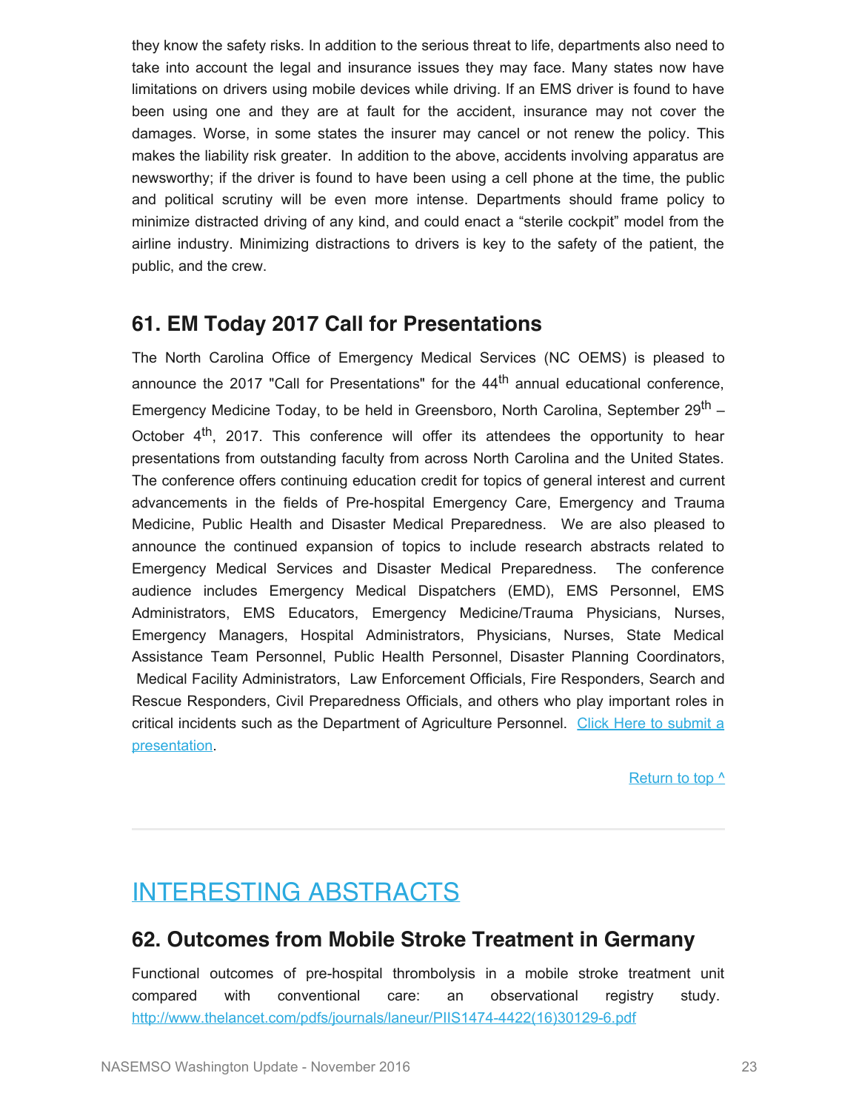they know the safety risks. In addition to the serious threat to life, departments also need to take into account the legal and insurance issues they may face. Many states now have limitations on drivers using mobile devices while driving. If an EMS driver is found to have been using one and they are at fault for the accident, insurance may not cover the damages. Worse, in some states the insurer may cancel or not renew the policy. This makes the liability risk greater. In addition to the above, accidents involving apparatus are newsworthy; if the driver is found to have been using a cell phone at the time, the public and political scrutiny will be even more intense. Departments should frame policy to minimize distracted driving of any kind, and could enact a "sterile cockpit" model from the airline industry. Minimizing distractions to drivers is key to the safety of the patient, the public, and the crew.

#### **61. EM Today 2017 Call for Presentations**

The North Carolina Office of Emergency Medical Services (NC OEMS) is pleased to announce the 2017 "Call for Presentations" for the  $44<sup>th</sup>$  annual educational conference, Emergency Medicine Today, to be held in Greensboro, North Carolina, September 29<sup>th</sup> – October 4<sup>th</sup>, 2017. This conference will offer its attendees the opportunity to hear presentations from outstanding faculty from across North Carolina and the United States. The conference offers continuing education credit for topics of general interest and current advancements in the fields of Pre-hospital Emergency Care, Emergency and Trauma Medicine, Public Health and Disaster Medical Preparedness. We are also pleased to announce the continued expansion of topics to include research abstracts related to Emergency Medical Services and Disaster Medical Preparedness. The conference audience includes Emergency Medical Dispatchers (EMD), EMS Personnel, EMS Administrators, EMS Educators, Emergency Medicine/Trauma Physicians, Nurses, Emergency Managers, Hospital Administrators, Physicians, Nurses, State Medical Assistance Team Personnel, Public Health Personnel, Disaster Planning Coordinators, Medical Facility Administrators, Law Enforcement Officials, Fire Responders, Search and Rescue Responders, Civil Preparedness Officials, and others who play important roles in critical incidents such as the Department of Agriculture Personnel. [Click Here to submit a](http://www.ncems.org/limesurvey/index.php/459578?lang=en) [presentation.](http://www.ncems.org/limesurvey/index.php/459578?lang=en)

[Return to top ^](#page-0-0)

# <span id="page-23-0"></span>INTERESTING ABSTRACTS

### **62. Outcomes from Mobile Stroke Treatment in Germany**

Functional outcomes of pre-hospital thrombolysis in a mobile stroke treatment unit compared with conventional care: an observational registry study. [http://www.thelancet.com/pdfs/journals/laneur/PIIS1474-4422\(16\)30129-6.pdf](http://www.thelancet.com/pdfs/journals/laneur/PIIS1474-4422(16)30129-6.pdf)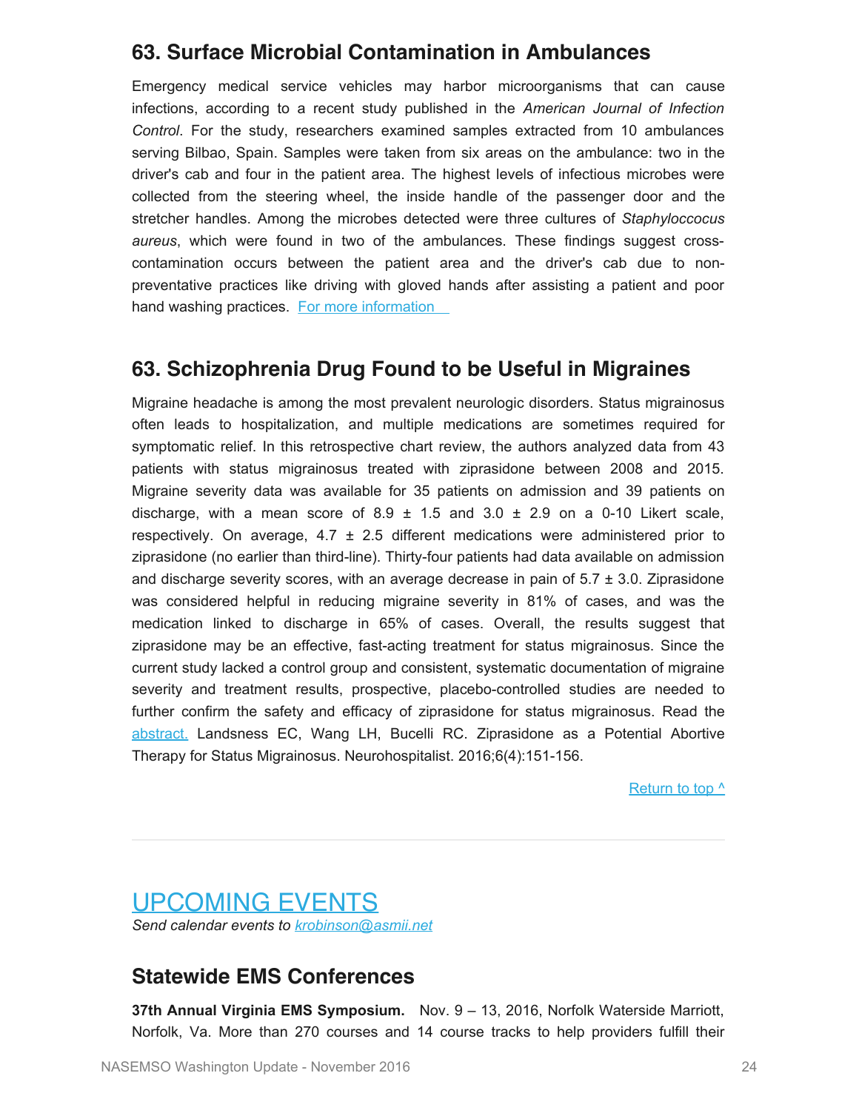### **63. Surface Microbial Contamination in Ambulances**

Emergency medical service vehicles may harbor microorganisms that can cause infections, according to a recent study published in the *American Journal of Infection Control*. For the study, researchers examined samples extracted from 10 ambulances serving Bilbao, Spain. Samples were taken from six areas on the ambulance: two in the driver's cab and four in the patient area. The highest levels of infectious microbes were collected from the steering wheel, the inside handle of the passenger door and the stretcher handles. Among the microbes detected were three cultures of *Staphyloccocus aureus*, which were found in two of the ambulances. These findings suggest crosscontamination occurs between the patient area and the driver's cab due to nonpreventative practices like driving with gloved hands after assisting a patient and poor hand washing practices. For more information

#### **63. Schizophrenia Drug Found to be Useful in Migraines**

Migraine headache is among the most prevalent neurologic disorders. Status migrainosus often leads to hospitalization, and multiple medications are sometimes required for symptomatic relief. In this retrospective chart review, the authors analyzed data from 43 patients with status migrainosus treated with ziprasidone between 2008 and 2015. Migraine severity data was available for 35 patients on admission and 39 patients on discharge, with a mean score of  $8.9 \pm 1.5$  and  $3.0 \pm 2.9$  on a 0-10 Likert scale, respectively. On average,  $4.7 \pm 2.5$  different medications were administered prior to ziprasidone (no earlier than third-line). Thirty-four patients had data available on admission and discharge severity scores, with an average decrease in pain of  $5.7 \pm 3.0$ . Ziprasidone was considered helpful in reducing migraine severity in 81% of cases, and was the medication linked to discharge in 65% of cases. Overall, the results suggest that ziprasidone may be an effective, fast-acting treatment for status migrainosus. Since the current study lacked a control group and consistent, systematic documentation of migraine severity and treatment results, prospective, placebo-controlled studies are needed to further confirm the safety and efficacy of ziprasidone for status migrainosus. Read the [abstract.](http://nho.sagepub.com/content/6/4/151.abstract) Landsness EC, Wang LH, Bucelli RC. Ziprasidone as a Potential Abortive Therapy for Status Migrainosus. Neurohospitalist. 2016;6(4):151-156.

[Return to top ^](#page-0-0)

<span id="page-24-0"></span>UPCOMING EVENTS *Send calendar events to [krobinson@asmii.net](mailto:krobinson@asmii.net?subject=Calendar%20Event%20for%20Washington%20Update)*

### **Statewide EMS Conferences**

**37th Annual Virginia EMS Symposium.** Nov. 9 – 13, 2016, Norfolk Waterside Marriott, Norfolk, Va. More than 270 courses and 14 course tracks to help providers fulfill their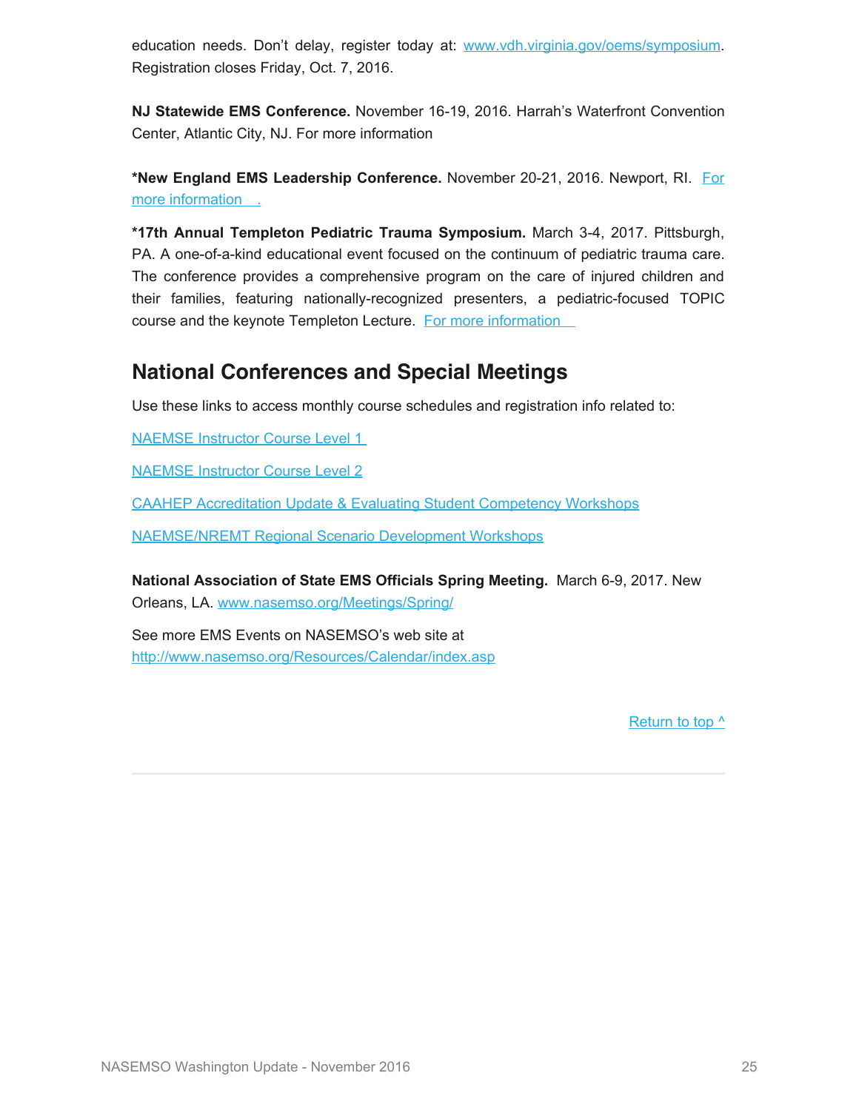education needs. Don't delay, register today at: [www.vdh.virginia.gov/oems/symposium](http://www.vdh.virginia.gov/oems/symposium). Registration closes Friday, Oct. 7, 2016.

**NJ Statewide EMS Conference.** November 16-19, 2016. Harrah's Waterfront Convention Center, Atlantic City, NJ. For more information

**\*New England EMS Leadership Conference.** November 20-21, 2016. Newport, RI. [For](https://www.regonline.com/Register/Checkin.aspx?EventID=1851538) [more information .](https://www.regonline.com/Register/Checkin.aspx?EventID=1851538)

**\*17th Annual Templeton Pediatric Trauma Symposium.** March 3-4, 2017. Pittsburgh, PA. A one-of-a-kind educational event focused on the continuum of pediatric trauma care. The conference provides a comprehensive program on the care of injured children and their families, featuring nationally-recognized presenters, a pediatric-focused TOPIC course and the keynote Templeton Lecture. For more information

### **National Conferences and Special Meetings**

Use these links to access monthly course schedules and registration info related to:

[NAEMSE Instructor Course Level 1](http://naemse.org/?page=LVL1InstructorCourse)

[NAEMSE Instructor Course Level 2](http://naemse.org/?page=LVL2InstructorCourse)

[CAAHEP Accreditation Update & Evaluating Student Competency Workshops](http://naemse.org/?page=coaemsp)

[NAEMSE/NREMT Regional Scenario Development Workshops](http://naemse.org/?page=nremt)

**National Association of State EMS Officials Spring Meeting.** March 6-9, 2017. New Orleans, LA. [www.nasemso.org/Meetings/Spring/](http://www.nasemso.org/Meetings/Spring/index.asp)

See more EMS Events on NASEMSO's web site at <http://www.nasemso.org/Resources/Calendar/index.asp>

[Return to top ^](#page-0-0)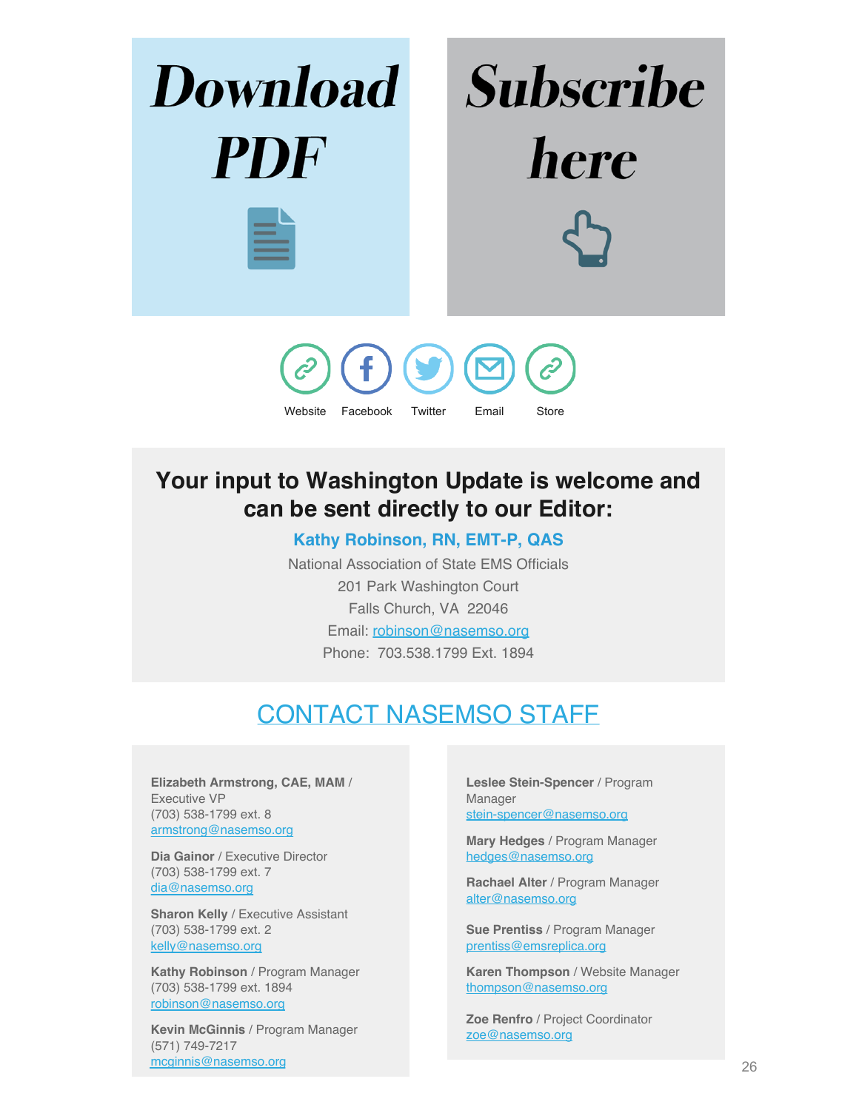

# **Your input to Washington Update is welcome and can be sent directly to our Editor:**

#### **Kathy Robinson, RN, EMT-P, QAS**

National Association of State EMS Officials 201 Park Washington Court Falls Church, VA 22046 Email: [robinson@nasemso.org](mailto:robinson@nasemso.org) Phone: 703.538.1799 Ext. 1894

# CONTACT NASEMSO STAFF

<span id="page-26-0"></span>**Elizabeth Armstrong, CAE, MAM** / Executive VP (703) 538-1799 ext. 8 [armstrong@nasemso.org](mailto:armstrong@nasemso.org)

**Dia Gainor** / Executive Director (703) 538-1799 ext. 7 [dia@nasemso.org](mailto:dia@nasemso.org)

**Sharon Kelly** / Executive Assistant (703) 538-1799 ext. 2 [kelly@nasemso.org](mailto:kelly@nasemso.org)

**Kathy Robinson** / Program Manager (703) 538-1799 ext. 1894 [robinson@nasemso.org](mailto:robinson@nasemso.org)

**Kevin McGinnis** / Program Manager (571) 749-7217 [mcginnis@nasemso.org](mailto:mcginnis@nasemso.org)

**Leslee Stein-Spencer** / Program Manager [stein-spencer@nasemso.org](mailto:stein-spencer@nasemso.org)

**Mary Hedges** / Program Manager [hedges@nasemso.org](mailto:hedges@nasemso.org)

**Rachael Alter** / Program Manager [alter@nasemso.org](mailto:alter@nasemso.org)

**Sue Prentiss** / Program Manager [prentiss@emsreplica.org](mailto:prentiss@emsreplica.org)

**Karen Thompson** / Website Manager [thompson@nasemso.org](mailto:thompson@nasemso.org)

**Zoe Renfro** / Project Coordinator [zoe@nasemso.org](mailto:zoe@nasemso.org)